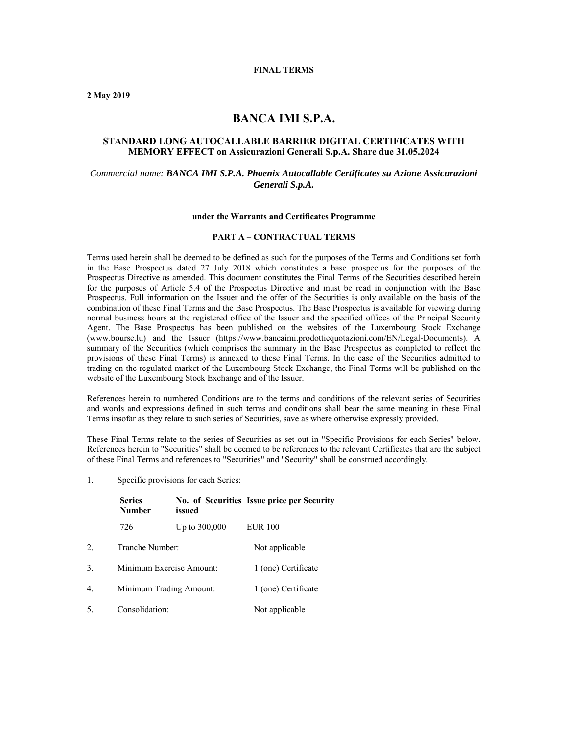#### **FINAL TERMS**

**2 May 2019** 

# **BANCA IMI S.P.A.**

## **STANDARD LONG AUTOCALLABLE BARRIER DIGITAL CERTIFICATES WITH MEMORY EFFECT on Assicurazioni Generali S.p.A. Share due 31.05.2024**

#### *Commercial name: BANCA IMI S.P.A. Phoenix Autocallable Certificates su Azione Assicurazioni Generali S.p.A.*

#### **under the Warrants and Certificates Programme**

#### **PART A – CONTRACTUAL TERMS**

Terms used herein shall be deemed to be defined as such for the purposes of the Terms and Conditions set forth in the Base Prospectus dated 27 July 2018 which constitutes a base prospectus for the purposes of the Prospectus Directive as amended. This document constitutes the Final Terms of the Securities described herein for the purposes of Article 5.4 of the Prospectus Directive and must be read in conjunction with the Base Prospectus. Full information on the Issuer and the offer of the Securities is only available on the basis of the combination of these Final Terms and the Base Prospectus. The Base Prospectus is available for viewing during normal business hours at the registered office of the Issuer and the specified offices of the Principal Security Agent. The Base Prospectus has been published on the websites of the Luxembourg Stock Exchange (www.bourse.lu) and the Issuer (https://www.bancaimi.prodottiequotazioni.com/EN/Legal-Documents). A summary of the Securities (which comprises the summary in the Base Prospectus as completed to reflect the provisions of these Final Terms) is annexed to these Final Terms. In the case of the Securities admitted to trading on the regulated market of the Luxembourg Stock Exchange, the Final Terms will be published on the website of the Luxembourg Stock Exchange and of the Issuer.

References herein to numbered Conditions are to the terms and conditions of the relevant series of Securities and words and expressions defined in such terms and conditions shall bear the same meaning in these Final Terms insofar as they relate to such series of Securities, save as where otherwise expressly provided.

These Final Terms relate to the series of Securities as set out in "Specific Provisions for each Series" below. References herein to "Securities" shall be deemed to be references to the relevant Certificates that are the subject of these Final Terms and references to "Securities" and "Security" shall be construed accordingly.

1. Specific provisions for each Series:

|                  | <b>Series</b><br><b>Number</b> | issued        | No. of Securities Issue price per Security |
|------------------|--------------------------------|---------------|--------------------------------------------|
|                  | 726                            | Up to 300,000 | <b>EUR 100</b>                             |
| 2.               | Tranche Number:                |               | Not applicable                             |
| 3.               | Minimum Exercise Amount:       |               | 1 (one) Certificate                        |
| $\overline{4}$ . | Minimum Trading Amount:        |               | 1 (one) Certificate                        |
| .5               | Consolidation:                 |               | Not applicable                             |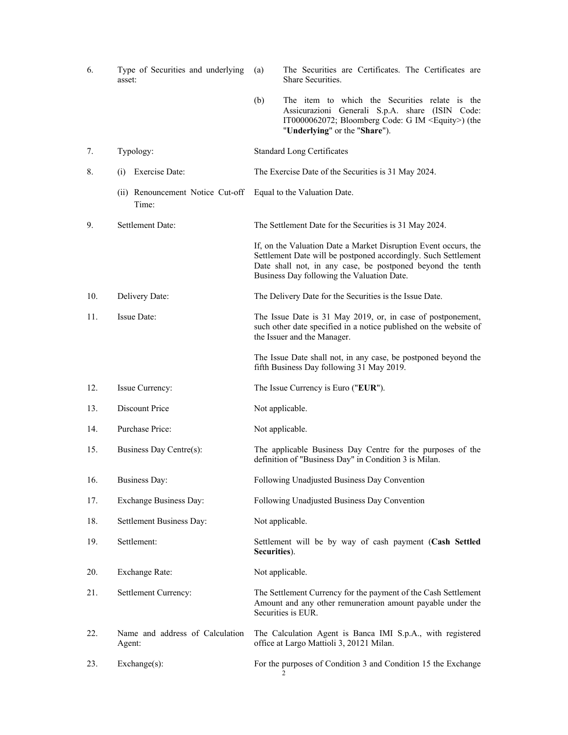| 6.  | Type of Securities and underlying<br>asset: | (a)             | The Securities are Certificates. The Certificates are<br>Share Securities.                                                                                                                                                                    |
|-----|---------------------------------------------|-----------------|-----------------------------------------------------------------------------------------------------------------------------------------------------------------------------------------------------------------------------------------------|
|     |                                             | (b)             | The item to which the Securities relate is the<br>Assicurazioni Generali S.p.A. share (ISIN Code:<br>IT0000062072; Bloomberg Code: G IM <equity>) (the<br/>"Underlying" or the "Share").</equity>                                             |
| 7.  | Typology:                                   |                 | <b>Standard Long Certificates</b>                                                                                                                                                                                                             |
| 8.  | Exercise Date:<br>(i)                       |                 | The Exercise Date of the Securities is 31 May 2024.                                                                                                                                                                                           |
|     | (ii) Renouncement Notice Cut-off<br>Time:   |                 | Equal to the Valuation Date.                                                                                                                                                                                                                  |
| 9.  | Settlement Date:                            |                 | The Settlement Date for the Securities is 31 May 2024.                                                                                                                                                                                        |
|     |                                             |                 | If, on the Valuation Date a Market Disruption Event occurs, the<br>Settlement Date will be postponed accordingly. Such Settlement<br>Date shall not, in any case, be postponed beyond the tenth<br>Business Day following the Valuation Date. |
| 10. | Delivery Date:                              |                 | The Delivery Date for the Securities is the Issue Date.                                                                                                                                                                                       |
| 11. | <b>Issue Date:</b>                          |                 | The Issue Date is 31 May 2019, or, in case of postponement,<br>such other date specified in a notice published on the website of<br>the Issuer and the Manager.                                                                               |
|     |                                             |                 | The Issue Date shall not, in any case, be postponed beyond the<br>fifth Business Day following 31 May 2019.                                                                                                                                   |
| 12. | Issue Currency:                             |                 | The Issue Currency is Euro ("EUR").                                                                                                                                                                                                           |
| 13. | Discount Price                              | Not applicable. |                                                                                                                                                                                                                                               |
| 14. | Purchase Price:                             | Not applicable. |                                                                                                                                                                                                                                               |
| 15. | Business Day Centre(s):                     |                 | The applicable Business Day Centre for the purposes of the<br>definition of "Business Day" in Condition 3 is Milan.                                                                                                                           |
| 16. | <b>Business Day:</b>                        |                 | Following Unadjusted Business Day Convention                                                                                                                                                                                                  |
| 17. | Exchange Business Day:                      |                 | Following Unadjusted Business Day Convention                                                                                                                                                                                                  |
| 18. | Settlement Business Day:                    | Not applicable. |                                                                                                                                                                                                                                               |
| 19. | Settlement:                                 | Securities).    | Settlement will be by way of cash payment (Cash Settled                                                                                                                                                                                       |
| 20. | <b>Exchange Rate:</b>                       | Not applicable. |                                                                                                                                                                                                                                               |
| 21. | Settlement Currency:                        |                 | The Settlement Currency for the payment of the Cash Settlement<br>Amount and any other remuneration amount payable under the<br>Securities is EUR.                                                                                            |
| 22. | Name and address of Calculation<br>Agent:   |                 | The Calculation Agent is Banca IMI S.p.A., with registered<br>office at Largo Mattioli 3, 20121 Milan.                                                                                                                                        |
| 23. | Exchange(s):                                |                 | For the purposes of Condition 3 and Condition 15 the Exchange<br>2                                                                                                                                                                            |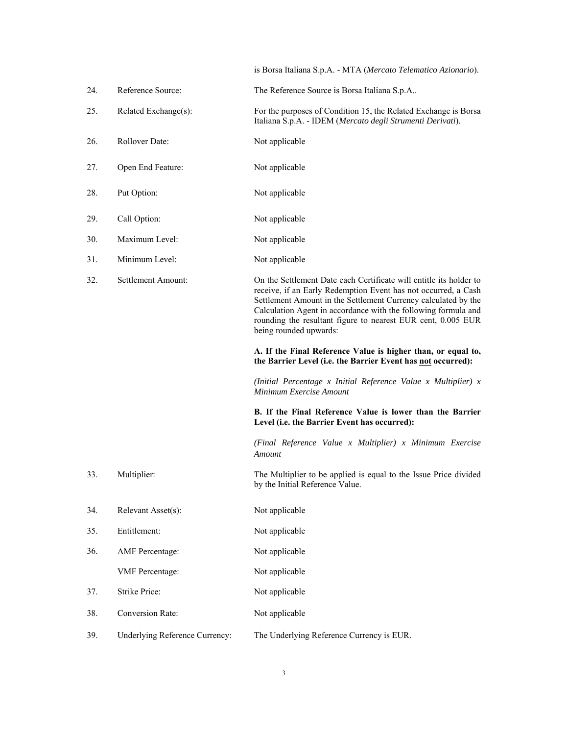is Borsa Italiana S.p.A. - MTA (*Mercato Telematico Azionario*).

| 24. | Reference Source:       | The Reference Source is Borsa Italiana S.p.A                                                                                                                                                                                                                                                                                                                       |
|-----|-------------------------|--------------------------------------------------------------------------------------------------------------------------------------------------------------------------------------------------------------------------------------------------------------------------------------------------------------------------------------------------------------------|
| 25. | Related Exchange(s):    | For the purposes of Condition 15, the Related Exchange is Borsa<br>Italiana S.p.A. - IDEM (Mercato degli Strumenti Derivati).                                                                                                                                                                                                                                      |
| 26. | Rollover Date:          | Not applicable                                                                                                                                                                                                                                                                                                                                                     |
| 27. | Open End Feature:       | Not applicable                                                                                                                                                                                                                                                                                                                                                     |
| 28. | Put Option:             | Not applicable                                                                                                                                                                                                                                                                                                                                                     |
| 29. | Call Option:            | Not applicable                                                                                                                                                                                                                                                                                                                                                     |
| 30. | Maximum Level:          | Not applicable                                                                                                                                                                                                                                                                                                                                                     |
| 31. | Minimum Level:          | Not applicable                                                                                                                                                                                                                                                                                                                                                     |
| 32. | Settlement Amount:      | On the Settlement Date each Certificate will entitle its holder to<br>receive, if an Early Redemption Event has not occurred, a Cash<br>Settlement Amount in the Settlement Currency calculated by the<br>Calculation Agent in accordance with the following formula and<br>rounding the resultant figure to nearest EUR cent, 0.005 EUR<br>being rounded upwards: |
|     |                         | A. If the Final Reference Value is higher than, or equal to,                                                                                                                                                                                                                                                                                                       |
|     |                         | the Barrier Level (i.e. the Barrier Event has not occurred):                                                                                                                                                                                                                                                                                                       |
|     |                         | (Initial Percentage x Initial Reference Value x Multiplier) $x$<br>Minimum Exercise Amount                                                                                                                                                                                                                                                                         |
|     |                         | B. If the Final Reference Value is lower than the Barrier<br>Level (i.e. the Barrier Event has occurred):                                                                                                                                                                                                                                                          |
|     |                         | (Final Reference Value x Multiplier) x Minimum Exercise<br>Amount                                                                                                                                                                                                                                                                                                  |
| 33. | Multiplier:             | The Multiplier to be applied is equal to the Issue Price divided<br>by the Initial Reference Value.                                                                                                                                                                                                                                                                |
| 34. | Relevant Asset(s):      | Not applicable                                                                                                                                                                                                                                                                                                                                                     |
| 35. | Entitlement:            | Not applicable                                                                                                                                                                                                                                                                                                                                                     |
| 36. | <b>AMF</b> Percentage:  | Not applicable                                                                                                                                                                                                                                                                                                                                                     |
|     | <b>VMF</b> Percentage:  | Not applicable                                                                                                                                                                                                                                                                                                                                                     |
| 37. | Strike Price:           | Not applicable                                                                                                                                                                                                                                                                                                                                                     |
| 38. | <b>Conversion Rate:</b> | Not applicable                                                                                                                                                                                                                                                                                                                                                     |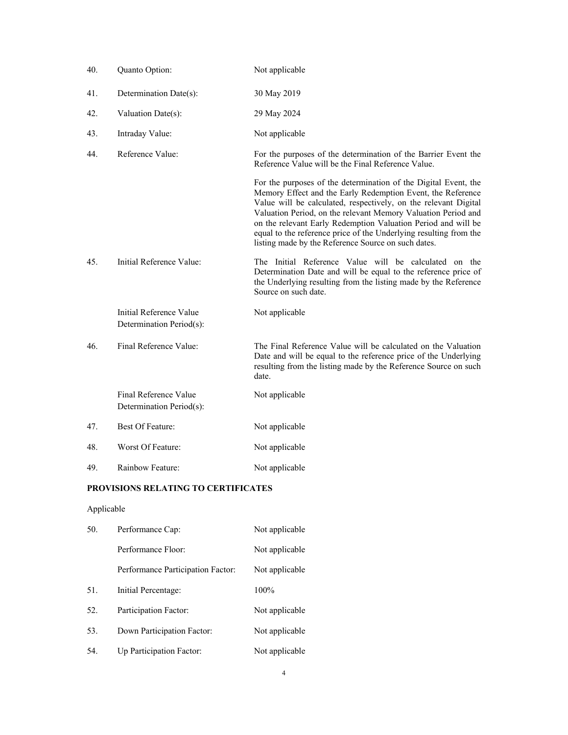| 40. | Quanto Option:                                      | Not applicable                                                                                                                                                                                                                                                                                                                                                                                                                                                  |
|-----|-----------------------------------------------------|-----------------------------------------------------------------------------------------------------------------------------------------------------------------------------------------------------------------------------------------------------------------------------------------------------------------------------------------------------------------------------------------------------------------------------------------------------------------|
| 41. | Determination Date(s):                              | 30 May 2019                                                                                                                                                                                                                                                                                                                                                                                                                                                     |
| 42. | Valuation Date(s):                                  | 29 May 2024                                                                                                                                                                                                                                                                                                                                                                                                                                                     |
| 43. | Intraday Value:                                     | Not applicable                                                                                                                                                                                                                                                                                                                                                                                                                                                  |
| 44. | Reference Value:                                    | For the purposes of the determination of the Barrier Event the<br>Reference Value will be the Final Reference Value.                                                                                                                                                                                                                                                                                                                                            |
|     |                                                     | For the purposes of the determination of the Digital Event, the<br>Memory Effect and the Early Redemption Event, the Reference<br>Value will be calculated, respectively, on the relevant Digital<br>Valuation Period, on the relevant Memory Valuation Period and<br>on the relevant Early Redemption Valuation Period and will be<br>equal to the reference price of the Underlying resulting from the<br>listing made by the Reference Source on such dates. |
| 45. | Initial Reference Value:                            | The Initial Reference Value will be calculated on the<br>Determination Date and will be equal to the reference price of<br>the Underlying resulting from the listing made by the Reference<br>Source on such date.                                                                                                                                                                                                                                              |
|     | Initial Reference Value<br>Determination Period(s): | Not applicable                                                                                                                                                                                                                                                                                                                                                                                                                                                  |
| 46. | Final Reference Value:                              | The Final Reference Value will be calculated on the Valuation<br>Date and will be equal to the reference price of the Underlying<br>resulting from the listing made by the Reference Source on such<br>date.                                                                                                                                                                                                                                                    |
|     | Final Reference Value<br>Determination Period(s):   | Not applicable                                                                                                                                                                                                                                                                                                                                                                                                                                                  |
| 47. | Best Of Feature:                                    | Not applicable                                                                                                                                                                                                                                                                                                                                                                                                                                                  |
| 48. | Worst Of Feature:                                   | Not applicable                                                                                                                                                                                                                                                                                                                                                                                                                                                  |
| 49. | Rainbow Feature:                                    | Not applicable                                                                                                                                                                                                                                                                                                                                                                                                                                                  |

# **PROVISIONS RELATING TO CERTIFICATES**

# Applicable

| 50. | Performance Cap:                  | Not applicable |
|-----|-----------------------------------|----------------|
|     | Performance Floor:                | Not applicable |
|     | Performance Participation Factor: | Not applicable |
| 51. | Initial Percentage:               | 100%           |
| 52. | Participation Factor:             | Not applicable |
| 53. | Down Participation Factor:        | Not applicable |
| 54. | Up Participation Factor:          | Not applicable |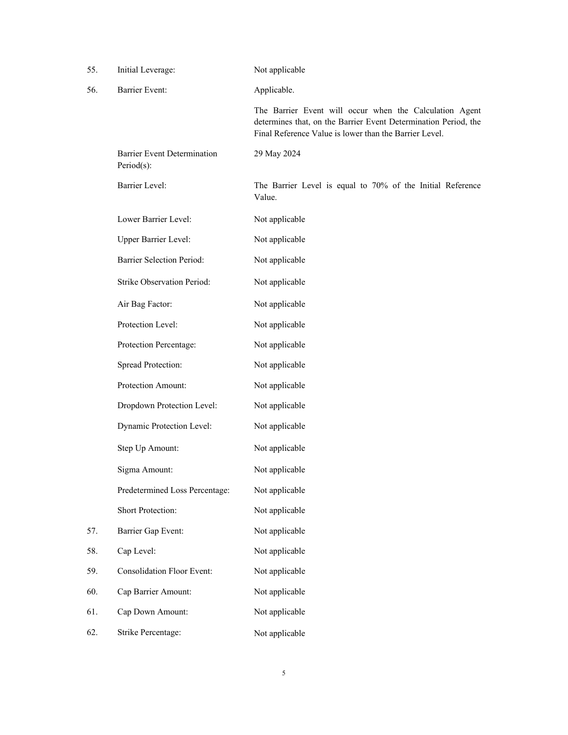| 55. | Initial Leverage:                                | Not applicable                                                                                                                                                                       |
|-----|--------------------------------------------------|--------------------------------------------------------------------------------------------------------------------------------------------------------------------------------------|
| 56. | <b>Barrier Event:</b>                            | Applicable.                                                                                                                                                                          |
|     |                                                  | The Barrier Event will occur when the Calculation Agent<br>determines that, on the Barrier Event Determination Period, the<br>Final Reference Value is lower than the Barrier Level. |
|     | <b>Barrier Event Determination</b><br>Period(s): | 29 May 2024                                                                                                                                                                          |
|     | <b>Barrier Level:</b>                            | The Barrier Level is equal to 70% of the Initial Reference<br>Value.                                                                                                                 |
|     | Lower Barrier Level:                             | Not applicable                                                                                                                                                                       |
|     | Upper Barrier Level:                             | Not applicable                                                                                                                                                                       |
|     | <b>Barrier Selection Period:</b>                 | Not applicable                                                                                                                                                                       |
|     | Strike Observation Period:                       | Not applicable                                                                                                                                                                       |
|     | Air Bag Factor:                                  | Not applicable                                                                                                                                                                       |
|     | Protection Level:                                | Not applicable                                                                                                                                                                       |
|     | Protection Percentage:                           | Not applicable                                                                                                                                                                       |
|     | Spread Protection:                               | Not applicable                                                                                                                                                                       |
|     | Protection Amount:                               | Not applicable                                                                                                                                                                       |
|     | Dropdown Protection Level:                       | Not applicable                                                                                                                                                                       |
|     | Dynamic Protection Level:                        | Not applicable                                                                                                                                                                       |
|     | Step Up Amount:                                  | Not applicable                                                                                                                                                                       |
|     | Sigma Amount:                                    | Not applicable                                                                                                                                                                       |
|     | Predetermined Loss Percentage:                   | Not applicable                                                                                                                                                                       |
|     | Short Protection:                                | Not applicable                                                                                                                                                                       |
| 57. | Barrier Gap Event:                               | Not applicable                                                                                                                                                                       |
| 58. | Cap Level:                                       | Not applicable                                                                                                                                                                       |
| 59. | <b>Consolidation Floor Event:</b>                | Not applicable                                                                                                                                                                       |
| 60. | Cap Barrier Amount:                              | Not applicable                                                                                                                                                                       |
| 61. | Cap Down Amount:                                 | Not applicable                                                                                                                                                                       |
| 62. | Strike Percentage:                               | Not applicable                                                                                                                                                                       |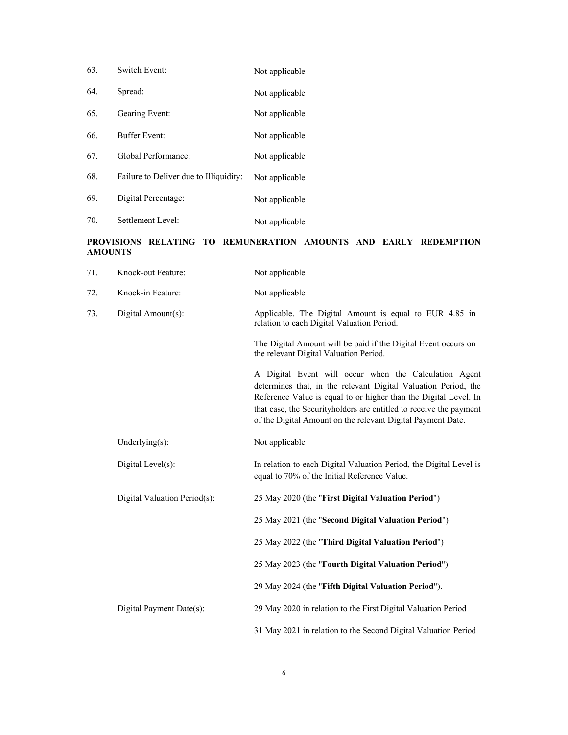| 63. | Switch Event:                          | Not applicable |
|-----|----------------------------------------|----------------|
| 64. | Spread:                                | Not applicable |
| 65. | Gearing Event:                         | Not applicable |
| 66. | Buffer Event:                          | Not applicable |
| 67. | Global Performance:                    | Not applicable |
| 68. | Failure to Deliver due to Illiquidity: | Not applicable |
| 69. | Digital Percentage:                    | Not applicable |
| 70. | Settlement Level:                      | Not applicable |

## **PROVISIONS RELATING TO REMUNERATION AMOUNTS AND EARLY REDEMPTION AMOUNTS**

| 71. | Knock-out Feature:           | Not applicable                                                                                                                                                                                                                                                                                                                   |
|-----|------------------------------|----------------------------------------------------------------------------------------------------------------------------------------------------------------------------------------------------------------------------------------------------------------------------------------------------------------------------------|
| 72. | Knock-in Feature:            | Not applicable                                                                                                                                                                                                                                                                                                                   |
| 73. | Digital Amount(s):           | Applicable. The Digital Amount is equal to EUR 4.85 in<br>relation to each Digital Valuation Period.                                                                                                                                                                                                                             |
|     |                              | The Digital Amount will be paid if the Digital Event occurs on<br>the relevant Digital Valuation Period.                                                                                                                                                                                                                         |
|     |                              | A Digital Event will occur when the Calculation Agent<br>determines that, in the relevant Digital Valuation Period, the<br>Reference Value is equal to or higher than the Digital Level. In<br>that case, the Securityholders are entitled to receive the payment<br>of the Digital Amount on the relevant Digital Payment Date. |
|     | Underlying(s):               | Not applicable                                                                                                                                                                                                                                                                                                                   |
|     | Digital Level(s):            | In relation to each Digital Valuation Period, the Digital Level is<br>equal to 70% of the Initial Reference Value.                                                                                                                                                                                                               |
|     | Digital Valuation Period(s): | 25 May 2020 (the "First Digital Valuation Period")                                                                                                                                                                                                                                                                               |
|     |                              | 25 May 2021 (the "Second Digital Valuation Period")                                                                                                                                                                                                                                                                              |
|     |                              | 25 May 2022 (the "Third Digital Valuation Period")                                                                                                                                                                                                                                                                               |
|     |                              | 25 May 2023 (the "Fourth Digital Valuation Period")                                                                                                                                                                                                                                                                              |
|     |                              | 29 May 2024 (the "Fifth Digital Valuation Period").                                                                                                                                                                                                                                                                              |
|     | Digital Payment Date(s):     | 29 May 2020 in relation to the First Digital Valuation Period                                                                                                                                                                                                                                                                    |
|     |                              | 31 May 2021 in relation to the Second Digital Valuation Period                                                                                                                                                                                                                                                                   |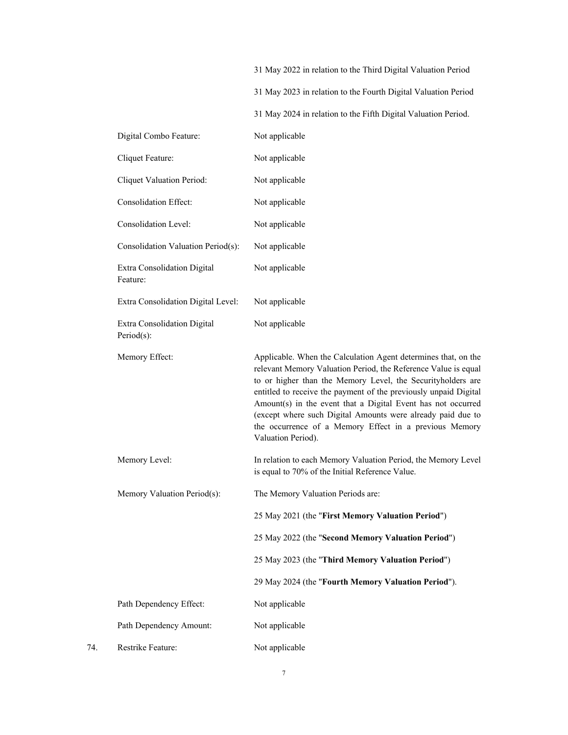|     |                                           | 31 May 2022 in relation to the Third Digital Valuation Period                                                                                                                                                                                                                                                                                                                                                                                                                      |
|-----|-------------------------------------------|------------------------------------------------------------------------------------------------------------------------------------------------------------------------------------------------------------------------------------------------------------------------------------------------------------------------------------------------------------------------------------------------------------------------------------------------------------------------------------|
|     |                                           | 31 May 2023 in relation to the Fourth Digital Valuation Period                                                                                                                                                                                                                                                                                                                                                                                                                     |
|     |                                           | 31 May 2024 in relation to the Fifth Digital Valuation Period.                                                                                                                                                                                                                                                                                                                                                                                                                     |
|     | Digital Combo Feature:                    | Not applicable                                                                                                                                                                                                                                                                                                                                                                                                                                                                     |
|     | Cliquet Feature:                          | Not applicable                                                                                                                                                                                                                                                                                                                                                                                                                                                                     |
|     | Cliquet Valuation Period:                 | Not applicable                                                                                                                                                                                                                                                                                                                                                                                                                                                                     |
|     | <b>Consolidation Effect:</b>              | Not applicable                                                                                                                                                                                                                                                                                                                                                                                                                                                                     |
|     | <b>Consolidation Level:</b>               | Not applicable                                                                                                                                                                                                                                                                                                                                                                                                                                                                     |
|     | Consolidation Valuation Period(s):        | Not applicable                                                                                                                                                                                                                                                                                                                                                                                                                                                                     |
|     | Extra Consolidation Digital<br>Feature:   | Not applicable                                                                                                                                                                                                                                                                                                                                                                                                                                                                     |
|     | Extra Consolidation Digital Level:        | Not applicable                                                                                                                                                                                                                                                                                                                                                                                                                                                                     |
|     | Extra Consolidation Digital<br>Period(s): | Not applicable                                                                                                                                                                                                                                                                                                                                                                                                                                                                     |
|     | Memory Effect:                            | Applicable. When the Calculation Agent determines that, on the<br>relevant Memory Valuation Period, the Reference Value is equal<br>to or higher than the Memory Level, the Securityholders are<br>entitled to receive the payment of the previously unpaid Digital<br>Amount(s) in the event that a Digital Event has not occurred<br>(except where such Digital Amounts were already paid due to<br>the occurrence of a Memory Effect in a previous Memory<br>Valuation Period). |
|     | Memory Level:                             | In relation to each Memory Valuation Period, the Memory Level<br>is equal to 70% of the Initial Reference Value.                                                                                                                                                                                                                                                                                                                                                                   |
|     | Memory Valuation Period(s):               | The Memory Valuation Periods are:                                                                                                                                                                                                                                                                                                                                                                                                                                                  |
|     |                                           | 25 May 2021 (the "First Memory Valuation Period")                                                                                                                                                                                                                                                                                                                                                                                                                                  |
|     |                                           | 25 May 2022 (the "Second Memory Valuation Period")                                                                                                                                                                                                                                                                                                                                                                                                                                 |
|     |                                           | 25 May 2023 (the "Third Memory Valuation Period")                                                                                                                                                                                                                                                                                                                                                                                                                                  |
|     |                                           | 29 May 2024 (the "Fourth Memory Valuation Period").                                                                                                                                                                                                                                                                                                                                                                                                                                |
|     | Path Dependency Effect:                   | Not applicable                                                                                                                                                                                                                                                                                                                                                                                                                                                                     |
|     | Path Dependency Amount:                   | Not applicable                                                                                                                                                                                                                                                                                                                                                                                                                                                                     |
| 74. | Restrike Feature:                         | Not applicable                                                                                                                                                                                                                                                                                                                                                                                                                                                                     |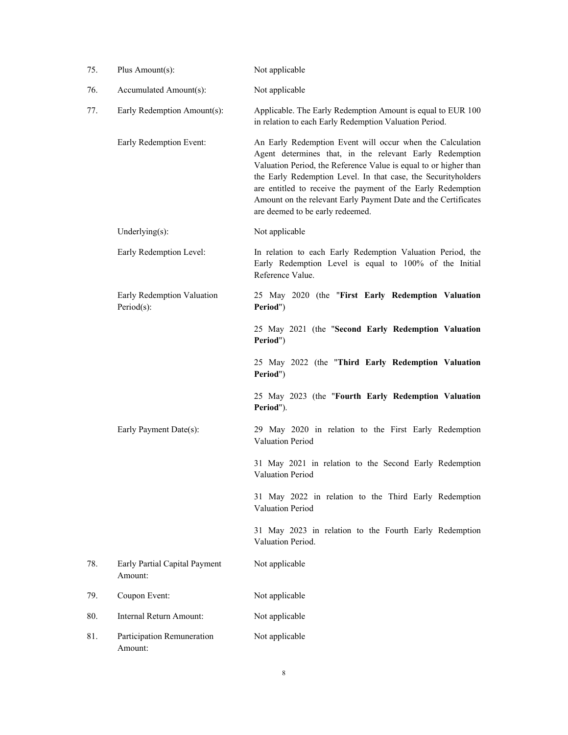| 75. | Plus Amount(s):                          | Not applicable                                                                                                                                                                                                                                                                                                                                                                                                                 |  |
|-----|------------------------------------------|--------------------------------------------------------------------------------------------------------------------------------------------------------------------------------------------------------------------------------------------------------------------------------------------------------------------------------------------------------------------------------------------------------------------------------|--|
| 76. | Accumulated Amount(s):                   | Not applicable                                                                                                                                                                                                                                                                                                                                                                                                                 |  |
| 77. | Early Redemption Amount(s):              | Applicable. The Early Redemption Amount is equal to EUR 100<br>in relation to each Early Redemption Valuation Period.                                                                                                                                                                                                                                                                                                          |  |
|     | Early Redemption Event:                  | An Early Redemption Event will occur when the Calculation<br>Agent determines that, in the relevant Early Redemption<br>Valuation Period, the Reference Value is equal to or higher than<br>the Early Redemption Level. In that case, the Securityholders<br>are entitled to receive the payment of the Early Redemption<br>Amount on the relevant Early Payment Date and the Certificates<br>are deemed to be early redeemed. |  |
|     | Underlying $(s)$ :                       | Not applicable                                                                                                                                                                                                                                                                                                                                                                                                                 |  |
|     | Early Redemption Level:                  | In relation to each Early Redemption Valuation Period, the<br>Early Redemption Level is equal to 100% of the Initial<br>Reference Value.                                                                                                                                                                                                                                                                                       |  |
|     | Early Redemption Valuation<br>Period(s): | 25 May 2020 (the "First Early Redemption Valuation<br>Period")                                                                                                                                                                                                                                                                                                                                                                 |  |
|     |                                          | 25 May 2021 (the "Second Early Redemption Valuation<br>Period")                                                                                                                                                                                                                                                                                                                                                                |  |
|     |                                          | 25 May 2022 (the "Third Early Redemption Valuation<br>Period")                                                                                                                                                                                                                                                                                                                                                                 |  |
|     |                                          | 25 May 2023 (the "Fourth Early Redemption Valuation<br>Period").                                                                                                                                                                                                                                                                                                                                                               |  |
|     | Early Payment Date(s):                   | 29 May 2020 in relation to the First Early Redemption<br>Valuation Period                                                                                                                                                                                                                                                                                                                                                      |  |
|     |                                          | 31 May 2021 in relation to the Second Early Redemption<br>Valuation Period                                                                                                                                                                                                                                                                                                                                                     |  |
|     |                                          | 31 May 2022 in relation to the Third Early Redemption<br>Valuation Period                                                                                                                                                                                                                                                                                                                                                      |  |
|     |                                          | 31 May 2023 in relation to the Fourth Early Redemption<br>Valuation Period.                                                                                                                                                                                                                                                                                                                                                    |  |
| 78. | Early Partial Capital Payment<br>Amount: | Not applicable                                                                                                                                                                                                                                                                                                                                                                                                                 |  |
| 79. | Coupon Event:                            | Not applicable                                                                                                                                                                                                                                                                                                                                                                                                                 |  |
| 80. | Internal Return Amount:                  | Not applicable                                                                                                                                                                                                                                                                                                                                                                                                                 |  |
| 81. | Participation Remuneration<br>Amount:    | Not applicable                                                                                                                                                                                                                                                                                                                                                                                                                 |  |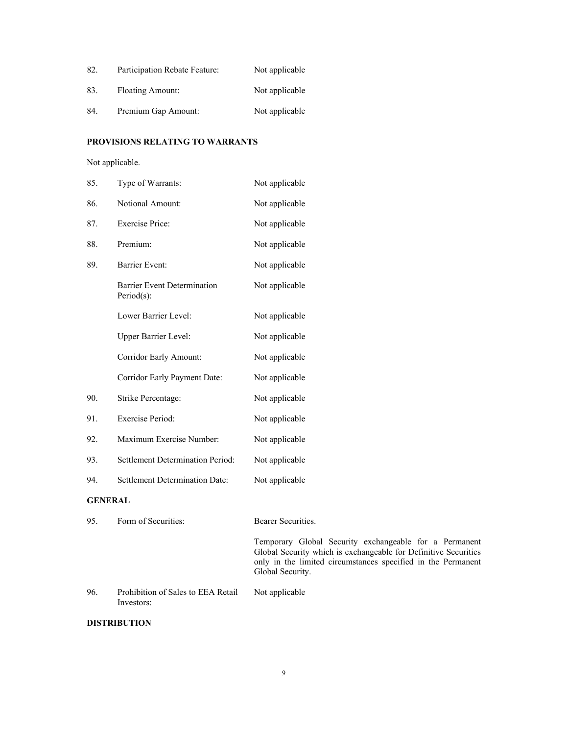| 82. | Participation Rebate Feature: | Not applicable |
|-----|-------------------------------|----------------|
| 83. | <b>Floating Amount:</b>       | Not applicable |
| 84. | Premium Gap Amount:           | Not applicable |

## **PROVISIONS RELATING TO WARRANTS**

Not applicable.

| 85.            | Type of Warrants:                                | Not applicable     |
|----------------|--------------------------------------------------|--------------------|
| 86.            | <b>Notional Amount:</b>                          | Not applicable     |
| 87.            | <b>Exercise Price:</b>                           | Not applicable     |
| 88.            | Premium:                                         | Not applicable     |
| 89.            | <b>Barrier Event:</b>                            | Not applicable     |
|                | <b>Barrier Event Determination</b><br>Period(s): | Not applicable     |
|                | Lower Barrier Level:                             | Not applicable     |
|                | Upper Barrier Level:                             | Not applicable     |
|                | Corridor Early Amount:                           | Not applicable     |
|                | Corridor Early Payment Date:                     | Not applicable     |
| 90.            | Strike Percentage:                               | Not applicable     |
| 91.            | <b>Exercise Period:</b>                          | Not applicable     |
| 92.            | Maximum Exercise Number:                         | Not applicable     |
| 93.            | <b>Settlement Determination Period:</b>          | Not applicable     |
| 94.            | <b>Settlement Determination Date:</b>            | Not applicable     |
| <b>GENERAL</b> |                                                  |                    |
| 95.            | Form of Securities:                              | Bearer Securities. |

Temporary Global Security exchangeable for a Permanent Global Security which is exchangeable for Definitive Securities only in the limited circumstances specified in the Permanent Global Security.

96. Prohibition of Sales to EEA Retail Investors: Not applicable

## **DISTRIBUTION**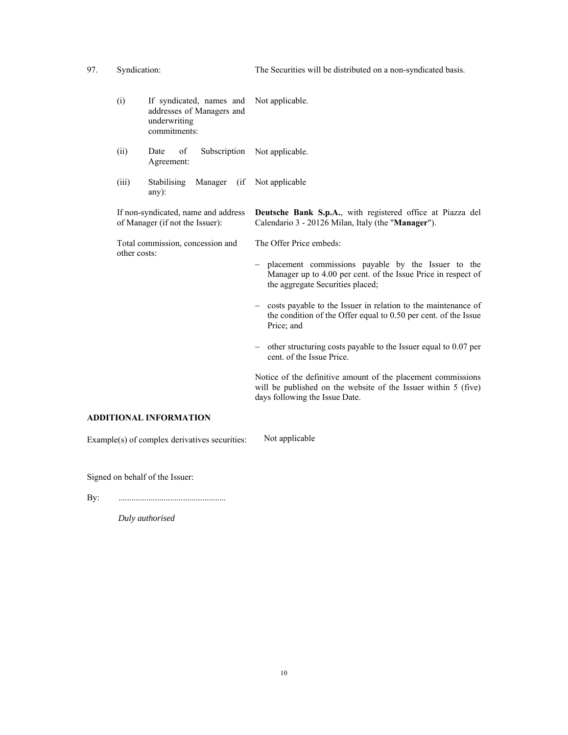97. Syndication: The Securities will be distributed on a non-syndicated basis. (i) If syndicated, names and addresses of Managers and underwriting commitments: Not applicable. (ii) Date of Subscription Not applicable. Agreement: (iii) Stabilising Manager (if Not applicable any): If non-syndicated, name and address of Manager (if not the Issuer): **Deutsche Bank S.p.A.**, with registered office at Piazza del Calendario 3 - 20126 Milan, Italy (the "**Manager**"). Total commission, concession and other costs: The Offer Price embeds: placement commissions payable by the Issuer to the Manager up to 4.00 per cent. of the Issue Price in respect of the aggregate Securities placed; - costs payable to the Issuer in relation to the maintenance of the condition of the Offer equal to 0.50 per cent. of the Issue Price; and - other structuring costs payable to the Issuer equal to 0.07 per cent. of the Issue Price. Notice of the definitive amount of the placement commissions will be published on the website of the Issuer within 5 (five) days following the Issue Date.

### **ADDITIONAL INFORMATION**

Example(s) of complex derivatives securities: Not applicable

Signed on behalf of the Issuer:

By: ..................................................

*Duly authorised*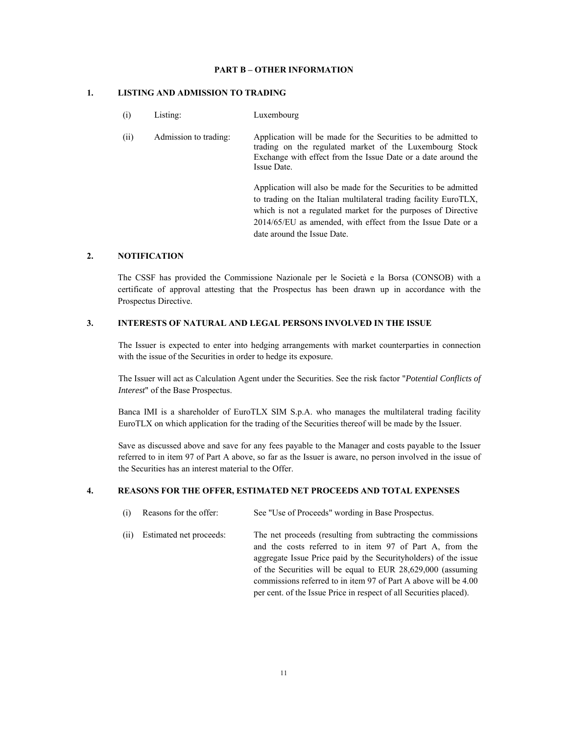#### **PART B – OTHER INFORMATION**

#### **1. LISTING AND ADMISSION TO TRADING**

 (i) Listing: Luxembourg (ii) Admission to trading: Application will be made for the Securities to be admitted to trading on the regulated market of the Luxembourg Stock Exchange with effect from the Issue Date or a date around the Issue Date. Application will also be made for the Securities to be admitted

to trading on the Italian multilateral trading facility EuroTLX, which is not a regulated market for the purposes of Directive 2014/65/EU as amended, with effect from the Issue Date or a date around the Issue Date.

## **2. NOTIFICATION**

The CSSF has provided the Commissione Nazionale per le Società e la Borsa (CONSOB) with a certificate of approval attesting that the Prospectus has been drawn up in accordance with the Prospectus Directive.

#### **3. INTERESTS OF NATURAL AND LEGAL PERSONS INVOLVED IN THE ISSUE**

The Issuer is expected to enter into hedging arrangements with market counterparties in connection with the issue of the Securities in order to hedge its exposure.

The Issuer will act as Calculation Agent under the Securities. See the risk factor "*Potential Conflicts of Interest*" of the Base Prospectus.

Banca IMI is a shareholder of EuroTLX SIM S.p.A. who manages the multilateral trading facility EuroTLX on which application for the trading of the Securities thereof will be made by the Issuer.

Save as discussed above and save for any fees payable to the Manager and costs payable to the Issuer referred to in item 97 of Part A above, so far as the Issuer is aware, no person involved in the issue of the Securities has an interest material to the Offer.

#### **4. REASONS FOR THE OFFER, ESTIMATED NET PROCEEDS AND TOTAL EXPENSES**

- (i) Reasons for the offer: See "Use of Proceeds" wording in Base Prospectus.
- (ii) Estimated net proceeds: The net proceeds (resulting from subtracting the commissions and the costs referred to in item 97 of Part A, from the aggregate Issue Price paid by the Securityholders) of the issue of the Securities will be equal to EUR 28,629,000 (assuming commissions referred to in item 97 of Part A above will be 4.00 per cent. of the Issue Price in respect of all Securities placed).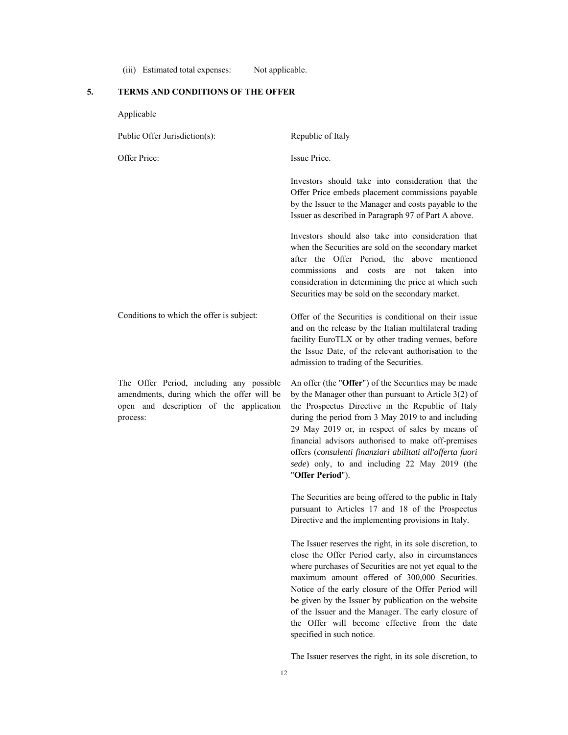(iii) Estimated total expenses: Not applicable.

# **5. TERMS AND CONDITIONS OF THE OFFER**

Applicable

| Public Offer Jurisdiction(s):                                                                                                                 | Republic of Italy                                                                                                                                                                                                                                                                                                                                                                                                                                                                |
|-----------------------------------------------------------------------------------------------------------------------------------------------|----------------------------------------------------------------------------------------------------------------------------------------------------------------------------------------------------------------------------------------------------------------------------------------------------------------------------------------------------------------------------------------------------------------------------------------------------------------------------------|
| Offer Price:                                                                                                                                  | Issue Price.                                                                                                                                                                                                                                                                                                                                                                                                                                                                     |
|                                                                                                                                               | Investors should take into consideration that the<br>Offer Price embeds placement commissions payable<br>by the Issuer to the Manager and costs payable to the<br>Issuer as described in Paragraph 97 of Part A above.                                                                                                                                                                                                                                                           |
|                                                                                                                                               | Investors should also take into consideration that<br>when the Securities are sold on the secondary market<br>after the Offer Period, the above mentioned<br>and costs<br>taken<br>commissions<br>not<br>are<br>into<br>consideration in determining the price at which such<br>Securities may be sold on the secondary market.                                                                                                                                                  |
| Conditions to which the offer is subject:                                                                                                     | Offer of the Securities is conditional on their issue<br>and on the release by the Italian multilateral trading<br>facility EuroTLX or by other trading venues, before<br>the Issue Date, of the relevant authorisation to the<br>admission to trading of the Securities.                                                                                                                                                                                                        |
| The Offer Period, including any possible<br>amendments, during which the offer will be<br>open and description of the application<br>process: | An offer (the "Offer") of the Securities may be made<br>by the Manager other than pursuant to Article $3(2)$ of<br>the Prospectus Directive in the Republic of Italy<br>during the period from 3 May 2019 to and including<br>29 May 2019 or, in respect of sales by means of<br>financial advisors authorised to make off-premises<br>offers (consulenti finanziari abilitati all'offerta fuori<br>sede) only, to and including 22 May 2019 (the<br>"Offer Period").            |
|                                                                                                                                               | The Securities are being offered to the public in Italy<br>pursuant to Articles 17 and 18 of the Prospectus<br>Directive and the implementing provisions in Italy.                                                                                                                                                                                                                                                                                                               |
|                                                                                                                                               | The Issuer reserves the right, in its sole discretion, to<br>close the Offer Period early, also in circumstances<br>where purchases of Securities are not yet equal to the<br>maximum amount offered of 300,000 Securities.<br>Notice of the early closure of the Offer Period will<br>be given by the Issuer by publication on the website<br>of the Issuer and the Manager. The early closure of<br>the Offer will become effective from the date<br>specified in such notice. |

The Issuer reserves the right, in its sole discretion, to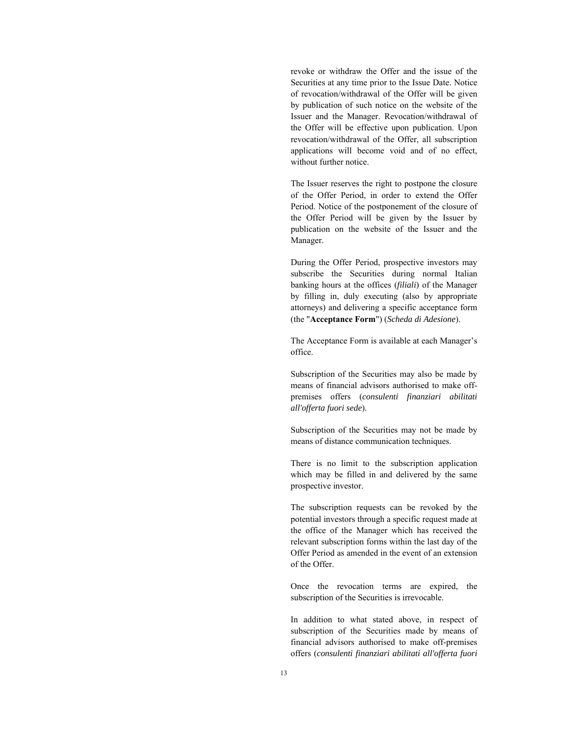revoke or withdraw the Offer and the issue of the Securities at any time prior to the Issue Date. Notice of revocation/withdrawal of the Offer will be given by publication of such notice on the website of the Issuer and the Manager. Revocation/withdrawal of the Offer will be effective upon publication. Upon revocation/withdrawal of the Offer, all subscription applications will become void and of no effect, without further notice.

The Issuer reserves the right to postpone the closure of the Offer Period, in order to extend the Offer Period. Notice of the postponement of the closure of the Offer Period will be given by the Issuer by publication on the website of the Issuer and the Manager.

During the Offer Period, prospective investors may subscribe the Securities during normal Italian banking hours at the offices (*filiali*) of the Manager by filling in, duly executing (also by appropriate attorneys) and delivering a specific acceptance form (the "**Acceptance Form**") (*Scheda di Adesione*).

The Acceptance Form is available at each Manager's office.

Subscription of the Securities may also be made by means of financial advisors authorised to make offpremises offers (*consulenti finanziari abilitati all'offerta fuori sede*).

Subscription of the Securities may not be made by means of distance communication techniques.

There is no limit to the subscription application which may be filled in and delivered by the same prospective investor.

The subscription requests can be revoked by the potential investors through a specific request made at the office of the Manager which has received the relevant subscription forms within the last day of the Offer Period as amended in the event of an extension of the Offer.

Once the revocation terms are expired, the subscription of the Securities is irrevocable.

In addition to what stated above, in respect of subscription of the Securities made by means of financial advisors authorised to make off-premises offers (*consulenti finanziari abilitati all'offerta fuori*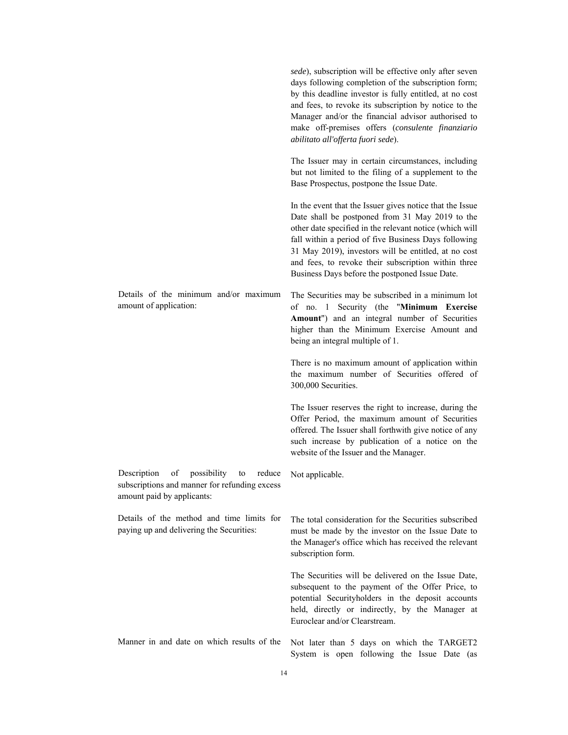|                                                                                                                                 | sede), subscription will be effective only after seven<br>days following completion of the subscription form;<br>by this deadline investor is fully entitled, at no cost<br>and fees, to revoke its subscription by notice to the<br>Manager and/or the financial advisor authorised to<br>make off-premises offers (consulente finanziario<br>abilitato all'offerta fuori sede).               |
|---------------------------------------------------------------------------------------------------------------------------------|-------------------------------------------------------------------------------------------------------------------------------------------------------------------------------------------------------------------------------------------------------------------------------------------------------------------------------------------------------------------------------------------------|
|                                                                                                                                 | The Issuer may in certain circumstances, including<br>but not limited to the filing of a supplement to the<br>Base Prospectus, postpone the Issue Date.                                                                                                                                                                                                                                         |
|                                                                                                                                 | In the event that the Issuer gives notice that the Issue<br>Date shall be postponed from 31 May 2019 to the<br>other date specified in the relevant notice (which will<br>fall within a period of five Business Days following<br>31 May 2019), investors will be entitled, at no cost<br>and fees, to revoke their subscription within three<br>Business Days before the postponed Issue Date. |
| Details of the minimum and/or maximum<br>amount of application:                                                                 | The Securities may be subscribed in a minimum lot<br>of no. 1 Security (the "Minimum Exercise<br>Amount") and an integral number of Securities<br>higher than the Minimum Exercise Amount and<br>being an integral multiple of 1.                                                                                                                                                               |
|                                                                                                                                 | There is no maximum amount of application within<br>the maximum number of Securities offered of<br>300,000 Securities.                                                                                                                                                                                                                                                                          |
|                                                                                                                                 | The Issuer reserves the right to increase, during the<br>Offer Period, the maximum amount of Securities<br>offered. The Issuer shall forthwith give notice of any<br>such increase by publication of a notice on the<br>website of the Issuer and the Manager.                                                                                                                                  |
| Description<br>possibility<br>of<br>reduce<br>to<br>subscriptions and manner for refunding excess<br>amount paid by applicants: | Not applicable.                                                                                                                                                                                                                                                                                                                                                                                 |
| Details of the method and time limits for<br>paying up and delivering the Securities:                                           | The total consideration for the Securities subscribed<br>must be made by the investor on the Issue Date to<br>the Manager's office which has received the relevant<br>subscription form.                                                                                                                                                                                                        |
|                                                                                                                                 | The Securities will be delivered on the Issue Date.<br>subsequent to the payment of the Offer Price, to<br>potential Securityholders in the deposit accounts<br>held, directly or indirectly, by the Manager at<br>Euroclear and/or Clearstream.                                                                                                                                                |
| Manner in and date on which results of the                                                                                      | Not later than 5 days on which the TARGET2<br>System is open following the Issue Date (as                                                                                                                                                                                                                                                                                                       |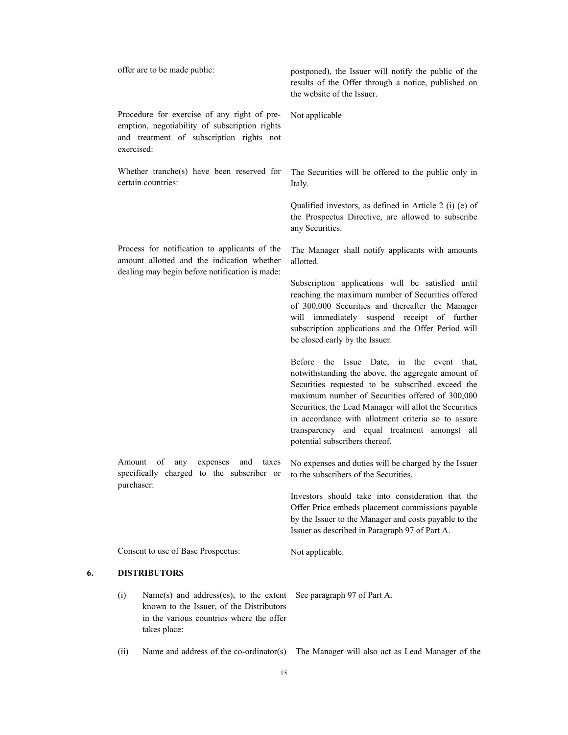|    |                                                                                                            | offer are to be made public:                                                                                                                          | postponed), the Issuer will notify the public of the<br>results of the Offer through a notice, published on<br>the website of the Issuer.                                                                                                                                                                                                                                                                |
|----|------------------------------------------------------------------------------------------------------------|-------------------------------------------------------------------------------------------------------------------------------------------------------|----------------------------------------------------------------------------------------------------------------------------------------------------------------------------------------------------------------------------------------------------------------------------------------------------------------------------------------------------------------------------------------------------------|
|    | exercised:                                                                                                 | Procedure for exercise of any right of pre-<br>emption, negotiability of subscription rights<br>and treatment of subscription rights not              | Not applicable                                                                                                                                                                                                                                                                                                                                                                                           |
|    |                                                                                                            | Whether tranche(s) have been reserved for<br>certain countries:                                                                                       | The Securities will be offered to the public only in<br>Italy.                                                                                                                                                                                                                                                                                                                                           |
|    |                                                                                                            |                                                                                                                                                       | Qualified investors, as defined in Article 2 (i) (e) of<br>the Prospectus Directive, are allowed to subscribe<br>any Securities.                                                                                                                                                                                                                                                                         |
|    |                                                                                                            | Process for notification to applicants of the<br>amount allotted and the indication whether<br>dealing may begin before notification is made:         | The Manager shall notify applicants with amounts<br>allotted.                                                                                                                                                                                                                                                                                                                                            |
|    |                                                                                                            |                                                                                                                                                       | Subscription applications will be satisfied until<br>reaching the maximum number of Securities offered<br>of 300,000 Securities and thereafter the Manager<br>will immediately suspend receipt of further<br>subscription applications and the Offer Period will<br>be closed early by the Issuer.                                                                                                       |
|    |                                                                                                            |                                                                                                                                                       | Before the Issue Date, in the event that,<br>notwithstanding the above, the aggregate amount of<br>Securities requested to be subscribed exceed the<br>maximum number of Securities offered of 300,000<br>Securities, the Lead Manager will allot the Securities<br>in accordance with allotment criteria so to assure<br>transparency and equal treatment amongst all<br>potential subscribers thereof. |
|    | Amount<br>of<br>expenses<br>any<br>and<br>taxes<br>specifically charged to the subscriber or<br>purchaser: |                                                                                                                                                       | No expenses and duties will be charged by the Issuer<br>to the subscribers of the Securities.                                                                                                                                                                                                                                                                                                            |
|    |                                                                                                            |                                                                                                                                                       | Investors should take into consideration that the<br>Offer Price embeds placement commissions payable<br>by the Issuer to the Manager and costs payable to the<br>Issuer as described in Paragraph 97 of Part A.                                                                                                                                                                                         |
|    |                                                                                                            | Consent to use of Base Prospectus:                                                                                                                    | Not applicable.                                                                                                                                                                                                                                                                                                                                                                                          |
| 6. |                                                                                                            | <b>DISTRIBUTORS</b>                                                                                                                                   |                                                                                                                                                                                                                                                                                                                                                                                                          |
|    | (i)                                                                                                        | Name $(s)$ and address $(es)$ , to the extent<br>known to the Issuer, of the Distributors<br>in the various countries where the offer<br>takes place: | See paragraph 97 of Part A.                                                                                                                                                                                                                                                                                                                                                                              |
|    | (ii)                                                                                                       | Name and address of the co-ordinator(s)                                                                                                               | The Manager will also act as Lead Manager of the                                                                                                                                                                                                                                                                                                                                                         |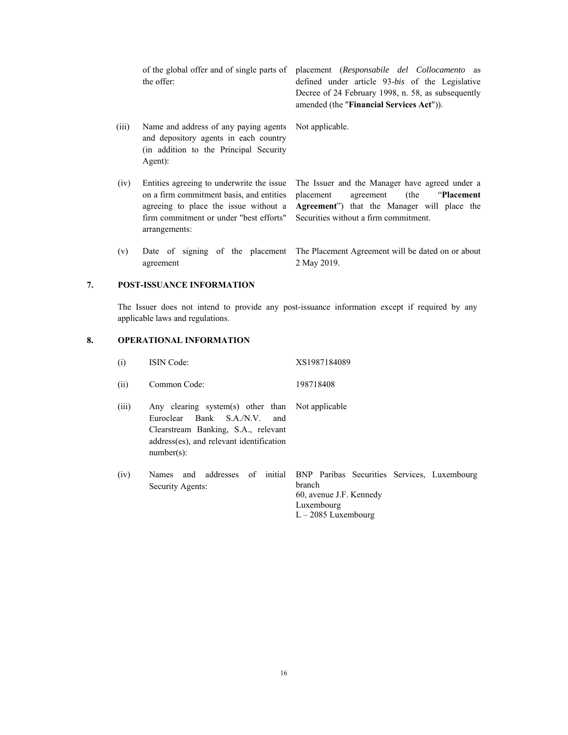of the global offer and of single parts of the offer: placement (*Responsabile del Collocamento* as

 (iii) Name and address of any paying agents and depository agents in each country (in addition to the Principal Security Agent):

 (iv) Entities agreeing to underwrite the issue on a firm commitment basis, and entities agreeing to place the issue without a firm commitment or under "best efforts" arrangements:

defined under article 93-*bis* of the Legislative Decree of 24 February 1998, n. 58, as subsequently amended (the "**Financial Services Act**")).

Not applicable.

The Issuer and the Manager have agreed under a placement agreement (the "**Placement Agreement**") that the Manager will place the Securities without a firm commitment.

 (v) Date of signing of the placement agreement The Placement Agreement will be dated on or about 2 May 2019.

#### **7. POST-ISSUANCE INFORMATION**

 The Issuer does not intend to provide any post-issuance information except if required by any applicable laws and regulations.

#### **8. OPERATIONAL INFORMATION**

| (i)   | <b>ISIN</b> Code:                                                                                                                                                                          | XS1987184089                                                                                                            |
|-------|--------------------------------------------------------------------------------------------------------------------------------------------------------------------------------------------|-------------------------------------------------------------------------------------------------------------------------|
| (ii)  | Common Code:                                                                                                                                                                               | 198718408                                                                                                               |
| (iii) | Any clearing system(s) other than Not applicable<br>Bank S.A./N.V.<br>Euroclear<br>and<br>Clearstream Banking, S.A., relevant<br>address(es), and relevant identification<br>$number(s)$ : |                                                                                                                         |
| (iv)  | Names<br>Security Agents:                                                                                                                                                                  | and addresses of initial BNP Paribas Securities Services, Luxembourg<br>branch<br>60, avenue J.F. Kennedy<br>Luxembourg |

L – 2085 Luxembourg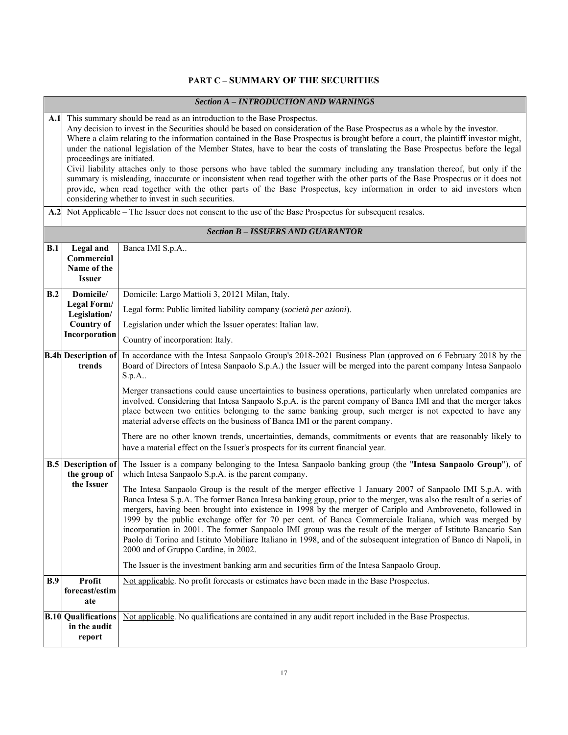# **PART C – SUMMARY OF THE SECURITIES**

|  |  | Section A - INTRODUCTION AND WARNINGS |  |
|--|--|---------------------------------------|--|
|--|--|---------------------------------------|--|

| A.1<br>A.2 | This summary should be read as an introduction to the Base Prospectus.<br>Any decision to invest in the Securities should be based on consideration of the Base Prospectus as a whole by the investor.<br>Where a claim relating to the information contained in the Base Prospectus is brought before a court, the plaintiff investor might,<br>under the national legislation of the Member States, have to bear the costs of translating the Base Prospectus before the legal<br>proceedings are initiated.<br>Civil liability attaches only to those persons who have tabled the summary including any translation thereof, but only if the<br>summary is misleading, inaccurate or inconsistent when read together with the other parts of the Base Prospectus or it does not<br>provide, when read together with the other parts of the Base Prospectus, key information in order to aid investors when<br>considering whether to invest in such securities. |                                                                                                                                                                                                                                                                                                                                                                                                                                                                                                                                                                                                                                                                                                                                                                                                                                 |  |  |
|------------|--------------------------------------------------------------------------------------------------------------------------------------------------------------------------------------------------------------------------------------------------------------------------------------------------------------------------------------------------------------------------------------------------------------------------------------------------------------------------------------------------------------------------------------------------------------------------------------------------------------------------------------------------------------------------------------------------------------------------------------------------------------------------------------------------------------------------------------------------------------------------------------------------------------------------------------------------------------------|---------------------------------------------------------------------------------------------------------------------------------------------------------------------------------------------------------------------------------------------------------------------------------------------------------------------------------------------------------------------------------------------------------------------------------------------------------------------------------------------------------------------------------------------------------------------------------------------------------------------------------------------------------------------------------------------------------------------------------------------------------------------------------------------------------------------------------|--|--|
|            |                                                                                                                                                                                                                                                                                                                                                                                                                                                                                                                                                                                                                                                                                                                                                                                                                                                                                                                                                                    | Not Applicable – The Issuer does not consent to the use of the Base Prospectus for subsequent resales.<br><b>Section B - ISSUERS AND GUARANTOR</b>                                                                                                                                                                                                                                                                                                                                                                                                                                                                                                                                                                                                                                                                              |  |  |
|            |                                                                                                                                                                                                                                                                                                                                                                                                                                                                                                                                                                                                                                                                                                                                                                                                                                                                                                                                                                    |                                                                                                                                                                                                                                                                                                                                                                                                                                                                                                                                                                                                                                                                                                                                                                                                                                 |  |  |
| B.1        | Legal and<br>Commercial<br>Name of the<br><b>Issuer</b>                                                                                                                                                                                                                                                                                                                                                                                                                                                                                                                                                                                                                                                                                                                                                                                                                                                                                                            | Banca IMI S.p.A                                                                                                                                                                                                                                                                                                                                                                                                                                                                                                                                                                                                                                                                                                                                                                                                                 |  |  |
| B.2        | Domicile/                                                                                                                                                                                                                                                                                                                                                                                                                                                                                                                                                                                                                                                                                                                                                                                                                                                                                                                                                          | Domicile: Largo Mattioli 3, 20121 Milan, Italy.                                                                                                                                                                                                                                                                                                                                                                                                                                                                                                                                                                                                                                                                                                                                                                                 |  |  |
|            | Legal Form/<br>Legislation/                                                                                                                                                                                                                                                                                                                                                                                                                                                                                                                                                                                                                                                                                                                                                                                                                                                                                                                                        | Legal form: Public limited liability company (società per azioni).                                                                                                                                                                                                                                                                                                                                                                                                                                                                                                                                                                                                                                                                                                                                                              |  |  |
|            | <b>Country of</b>                                                                                                                                                                                                                                                                                                                                                                                                                                                                                                                                                                                                                                                                                                                                                                                                                                                                                                                                                  | Legislation under which the Issuer operates: Italian law.                                                                                                                                                                                                                                                                                                                                                                                                                                                                                                                                                                                                                                                                                                                                                                       |  |  |
|            | Incorporation                                                                                                                                                                                                                                                                                                                                                                                                                                                                                                                                                                                                                                                                                                                                                                                                                                                                                                                                                      | Country of incorporation: Italy.                                                                                                                                                                                                                                                                                                                                                                                                                                                                                                                                                                                                                                                                                                                                                                                                |  |  |
|            | <b>B.4b</b> Description of<br>trends                                                                                                                                                                                                                                                                                                                                                                                                                                                                                                                                                                                                                                                                                                                                                                                                                                                                                                                               | In accordance with the Intesa Sanpaolo Group's 2018-2021 Business Plan (approved on 6 February 2018 by the<br>Board of Directors of Intesa Sanpaolo S.p.A.) the Issuer will be merged into the parent company Intesa Sanpaolo<br>S.p.A<br>Merger transactions could cause uncertainties to business operations, particularly when unrelated companies are<br>involved. Considering that Intesa Sanpaolo S.p.A. is the parent company of Banca IMI and that the merger takes<br>place between two entities belonging to the same banking group, such merger is not expected to have any<br>material adverse effects on the business of Banca IMI or the parent company.                                                                                                                                                          |  |  |
|            |                                                                                                                                                                                                                                                                                                                                                                                                                                                                                                                                                                                                                                                                                                                                                                                                                                                                                                                                                                    | There are no other known trends, uncertainties, demands, commitments or events that are reasonably likely to<br>have a material effect on the Issuer's prospects for its current financial year.                                                                                                                                                                                                                                                                                                                                                                                                                                                                                                                                                                                                                                |  |  |
|            | <b>B.5</b> Description of<br>the group of                                                                                                                                                                                                                                                                                                                                                                                                                                                                                                                                                                                                                                                                                                                                                                                                                                                                                                                          | The Issuer is a company belonging to the Intesa Sanpaolo banking group (the "Intesa Sanpaolo Group"), of<br>which Intesa Sanpaolo S.p.A. is the parent company.                                                                                                                                                                                                                                                                                                                                                                                                                                                                                                                                                                                                                                                                 |  |  |
|            | the Issuer                                                                                                                                                                                                                                                                                                                                                                                                                                                                                                                                                                                                                                                                                                                                                                                                                                                                                                                                                         | The Intesa Sanpaolo Group is the result of the merger effective 1 January 2007 of Sanpaolo IMI S.p.A. with<br>Banca Intesa S.p.A. The former Banca Intesa banking group, prior to the merger, was also the result of a series of<br>mergers, having been brought into existence in 1998 by the merger of Cariplo and Ambroveneto, followed in<br>1999 by the public exchange offer for 70 per cent. of Banca Commerciale Italiana, which was merged by<br>incorporation in 2001. The former Sanpaolo IMI group was the result of the merger of Istituto Bancario San<br>Paolo di Torino and Istituto Mobiliare Italiano in 1998, and of the subsequent integration of Banco di Napoli, in<br>2000 and of Gruppo Cardine, in 2002.<br>The Issuer is the investment banking arm and securities firm of the Intesa Sanpaolo Group. |  |  |
| B.9        | <b>Profit</b>                                                                                                                                                                                                                                                                                                                                                                                                                                                                                                                                                                                                                                                                                                                                                                                                                                                                                                                                                      | Not applicable. No profit forecasts or estimates have been made in the Base Prospectus.                                                                                                                                                                                                                                                                                                                                                                                                                                                                                                                                                                                                                                                                                                                                         |  |  |
|            | forecast/estim<br>ate                                                                                                                                                                                                                                                                                                                                                                                                                                                                                                                                                                                                                                                                                                                                                                                                                                                                                                                                              |                                                                                                                                                                                                                                                                                                                                                                                                                                                                                                                                                                                                                                                                                                                                                                                                                                 |  |  |
|            | <b>B.10 Qualifications</b><br>in the audit<br>report                                                                                                                                                                                                                                                                                                                                                                                                                                                                                                                                                                                                                                                                                                                                                                                                                                                                                                               | Not applicable. No qualifications are contained in any audit report included in the Base Prospectus.                                                                                                                                                                                                                                                                                                                                                                                                                                                                                                                                                                                                                                                                                                                            |  |  |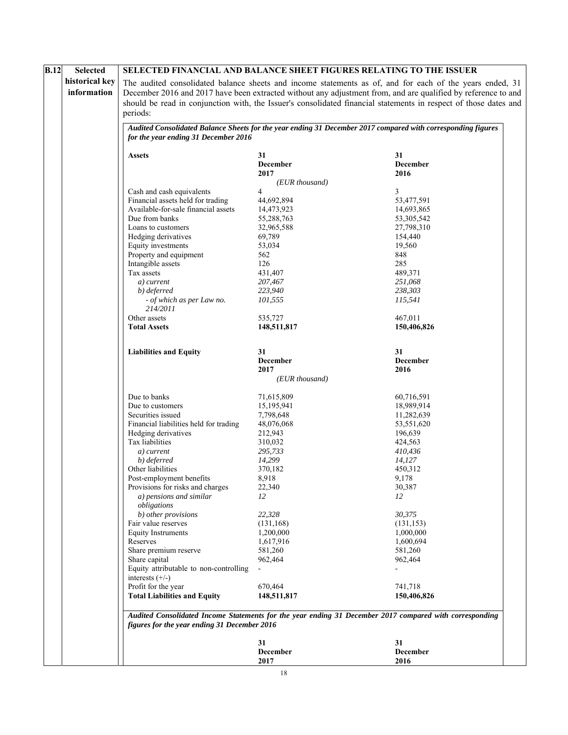| B.12<br><b>Selected</b> |                                                                                                                                                      |                                                                                                         | SELECTED FINANCIAL AND BALANCE SHEET FIGURES RELATING TO THE ISSUER                                              |  |  |
|-------------------------|------------------------------------------------------------------------------------------------------------------------------------------------------|---------------------------------------------------------------------------------------------------------|------------------------------------------------------------------------------------------------------------------|--|--|
| historical key          | The audited consolidated balance sheets and income statements as of, and for each of the years ended, 31                                             |                                                                                                         |                                                                                                                  |  |  |
| information             | December 2016 and 2017 have been extracted without any adjustment from, and are qualified by reference to and                                        |                                                                                                         |                                                                                                                  |  |  |
|                         |                                                                                                                                                      |                                                                                                         | should be read in conjunction with, the Issuer's consolidated financial statements in respect of those dates and |  |  |
|                         | periods:                                                                                                                                             |                                                                                                         |                                                                                                                  |  |  |
|                         |                                                                                                                                                      |                                                                                                         |                                                                                                                  |  |  |
|                         | Audited Consolidated Balance Sheets for the year ending 31 December 2017 compared with corresponding figures<br>for the year ending 31 December 2016 |                                                                                                         |                                                                                                                  |  |  |
|                         | <b>Assets</b>                                                                                                                                        | 31                                                                                                      | 31                                                                                                               |  |  |
|                         |                                                                                                                                                      | <b>December</b>                                                                                         | December                                                                                                         |  |  |
|                         |                                                                                                                                                      | 2017                                                                                                    | 2016                                                                                                             |  |  |
|                         |                                                                                                                                                      | (EUR thousand)                                                                                          |                                                                                                                  |  |  |
|                         | Cash and cash equivalents                                                                                                                            | 4                                                                                                       | 3                                                                                                                |  |  |
|                         | Financial assets held for trading                                                                                                                    | 44,692,894                                                                                              | 53,477,591                                                                                                       |  |  |
|                         | Available-for-sale financial assets<br>Due from banks                                                                                                | 14,473,923<br>55,288,763                                                                                | 14,693,865<br>53, 305, 542                                                                                       |  |  |
|                         | Loans to customers                                                                                                                                   | 32,965,588                                                                                              | 27,798,310                                                                                                       |  |  |
|                         | Hedging derivatives                                                                                                                                  | 69,789                                                                                                  | 154,440                                                                                                          |  |  |
|                         | Equity investments                                                                                                                                   | 53,034                                                                                                  | 19,560                                                                                                           |  |  |
|                         | Property and equipment                                                                                                                               | 562                                                                                                     | 848                                                                                                              |  |  |
|                         | Intangible assets                                                                                                                                    | 126                                                                                                     | 285                                                                                                              |  |  |
|                         | Tax assets                                                                                                                                           | 431,407                                                                                                 | 489,371                                                                                                          |  |  |
|                         | a) current                                                                                                                                           | 207,467                                                                                                 | 251,068                                                                                                          |  |  |
|                         | b) deferred                                                                                                                                          | 223,940                                                                                                 | 238,303                                                                                                          |  |  |
|                         | - of which as per Law no.                                                                                                                            | 101,555                                                                                                 | 115,541                                                                                                          |  |  |
|                         | 214/2011<br>Other assets                                                                                                                             | 535,727                                                                                                 | 467,011                                                                                                          |  |  |
|                         | <b>Total Assets</b>                                                                                                                                  | 148,511,817                                                                                             | 150,406,826                                                                                                      |  |  |
|                         |                                                                                                                                                      |                                                                                                         |                                                                                                                  |  |  |
|                         | <b>Liabilities and Equity</b>                                                                                                                        | 31                                                                                                      | 31                                                                                                               |  |  |
|                         |                                                                                                                                                      | December                                                                                                | December                                                                                                         |  |  |
|                         |                                                                                                                                                      | 2017<br>(EUR thousand)                                                                                  | 2016                                                                                                             |  |  |
|                         |                                                                                                                                                      |                                                                                                         |                                                                                                                  |  |  |
|                         | Due to banks                                                                                                                                         | 71,615,809                                                                                              | 60,716,591                                                                                                       |  |  |
|                         | Due to customers                                                                                                                                     | 15,195,941                                                                                              | 18,989,914                                                                                                       |  |  |
|                         | Securities issued                                                                                                                                    | 7,798,648                                                                                               | 11,282,639                                                                                                       |  |  |
|                         | Financial liabilities held for trading                                                                                                               | 48,076,068                                                                                              | 53,551,620                                                                                                       |  |  |
|                         | Hedging derivatives<br>Tax liabilities                                                                                                               | 212,943<br>310,032                                                                                      | 196,639<br>424,563                                                                                               |  |  |
|                         | a) current                                                                                                                                           | 295,733                                                                                                 | 410,436                                                                                                          |  |  |
|                         | b) deferred                                                                                                                                          | 14,299                                                                                                  | 14,127                                                                                                           |  |  |
|                         | Other liabilities                                                                                                                                    | 370,182                                                                                                 | 450,312                                                                                                          |  |  |
|                         | Post-employment benefits                                                                                                                             | 8,918                                                                                                   | 9,178                                                                                                            |  |  |
|                         | Provisions for risks and charges                                                                                                                     | 22,340                                                                                                  | 30,387                                                                                                           |  |  |
|                         | a) pensions and similar                                                                                                                              | 12                                                                                                      | 12                                                                                                               |  |  |
|                         | obligations                                                                                                                                          |                                                                                                         |                                                                                                                  |  |  |
|                         | b) other provisions                                                                                                                                  | 22,328                                                                                                  | 30,375                                                                                                           |  |  |
|                         | Fair value reserves                                                                                                                                  | (131, 168)                                                                                              | (131, 153)                                                                                                       |  |  |
|                         | <b>Equity Instruments</b>                                                                                                                            | 1,200,000                                                                                               | 1,000,000                                                                                                        |  |  |
|                         | Reserves<br>Share premium reserve                                                                                                                    | 1,617,916<br>581,260                                                                                    | 1,600,694<br>581,260                                                                                             |  |  |
|                         | Share capital                                                                                                                                        | 962,464                                                                                                 | 962,464                                                                                                          |  |  |
|                         | Equity attributable to non-controlling                                                                                                               |                                                                                                         |                                                                                                                  |  |  |
|                         | interests $(+/-)$                                                                                                                                    |                                                                                                         |                                                                                                                  |  |  |
|                         | Profit for the year                                                                                                                                  | 670,464                                                                                                 | 741,718                                                                                                          |  |  |
|                         | <b>Total Liabilities and Equity</b>                                                                                                                  | 148,511,817                                                                                             | 150,406,826                                                                                                      |  |  |
|                         | figures for the year ending 31 December 2016                                                                                                         | Audited Consolidated Income Statements for the year ending 31 December 2017 compared with corresponding |                                                                                                                  |  |  |
|                         |                                                                                                                                                      | 31                                                                                                      | 31                                                                                                               |  |  |
|                         |                                                                                                                                                      | <b>December</b>                                                                                         | December                                                                                                         |  |  |
|                         |                                                                                                                                                      | 2017                                                                                                    | 2016                                                                                                             |  |  |
|                         |                                                                                                                                                      |                                                                                                         |                                                                                                                  |  |  |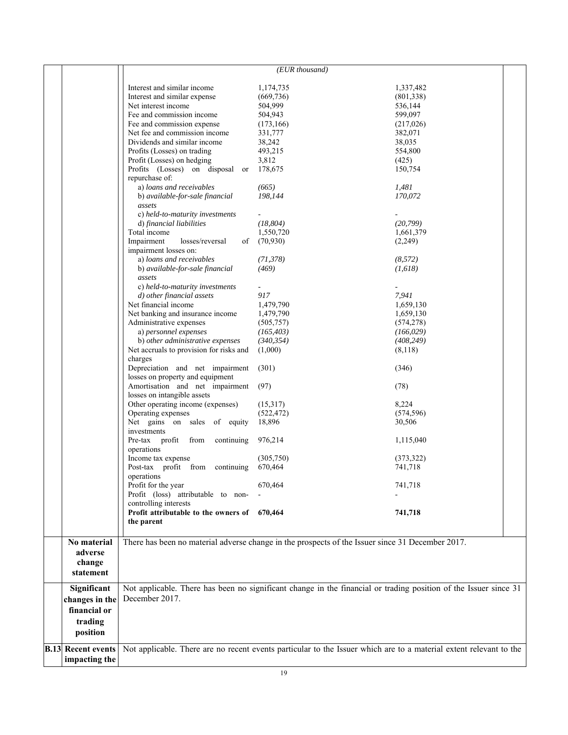|  |                                                                            |                                                                                                                    | $(EUR$ thousand) |                                                                                                                  |  |
|--|----------------------------------------------------------------------------|--------------------------------------------------------------------------------------------------------------------|------------------|------------------------------------------------------------------------------------------------------------------|--|
|  |                                                                            |                                                                                                                    |                  |                                                                                                                  |  |
|  |                                                                            | Interest and similar income                                                                                        | 1,174,735        | 1,337,482                                                                                                        |  |
|  |                                                                            | Interest and similar expense                                                                                       | (669, 736)       | (801, 338)                                                                                                       |  |
|  |                                                                            | Net interest income                                                                                                | 504,999          | 536,144                                                                                                          |  |
|  |                                                                            | Fee and commission income                                                                                          | 504,943          | 599,097                                                                                                          |  |
|  |                                                                            | Fee and commission expense                                                                                         | (173, 166)       | (217,026)                                                                                                        |  |
|  |                                                                            | Net fee and commission income                                                                                      | 331,777          | 382,071                                                                                                          |  |
|  |                                                                            | Dividends and similar income                                                                                       | 38,242           | 38,035                                                                                                           |  |
|  |                                                                            | Profits (Losses) on trading                                                                                        | 493,215          | 554,800                                                                                                          |  |
|  |                                                                            | Profit (Losses) on hedging                                                                                         | 3,812            | (425)                                                                                                            |  |
|  |                                                                            | Profits (Losses) on disposal or                                                                                    | 178,675          | 150,754                                                                                                          |  |
|  |                                                                            | repurchase of:                                                                                                     |                  |                                                                                                                  |  |
|  |                                                                            | a) loans and receivables                                                                                           | (665)            | 1,481                                                                                                            |  |
|  |                                                                            | b) available-for-sale financial                                                                                    | 198,144          | 170,072                                                                                                          |  |
|  |                                                                            | assets                                                                                                             |                  |                                                                                                                  |  |
|  |                                                                            | c) held-to-maturity investments                                                                                    |                  |                                                                                                                  |  |
|  |                                                                            | d) financial liabilities                                                                                           | (18, 804)        | (20, 799)                                                                                                        |  |
|  |                                                                            | Total income                                                                                                       | 1,550,720        | 1,661,379                                                                                                        |  |
|  |                                                                            | Impairment<br>losses/reversal<br>of                                                                                |                  |                                                                                                                  |  |
|  |                                                                            |                                                                                                                    | (70, 930)        | (2,249)                                                                                                          |  |
|  |                                                                            | impairment losses on:                                                                                              |                  |                                                                                                                  |  |
|  |                                                                            | a) loans and receivables                                                                                           | (71, 378)        | (8,572)                                                                                                          |  |
|  |                                                                            | b) available-for-sale financial                                                                                    | (469)            | (1,618)                                                                                                          |  |
|  |                                                                            | assets                                                                                                             |                  |                                                                                                                  |  |
|  |                                                                            | c) held-to-maturity investments                                                                                    |                  |                                                                                                                  |  |
|  |                                                                            | d) other financial assets                                                                                          | 917              | 7,941                                                                                                            |  |
|  |                                                                            | Net financial income                                                                                               | 1,479,790        | 1,659,130                                                                                                        |  |
|  |                                                                            | Net banking and insurance income                                                                                   | 1,479,790        | 1,659,130                                                                                                        |  |
|  |                                                                            | Administrative expenses                                                                                            | (505, 757)       | (574, 278)                                                                                                       |  |
|  |                                                                            | a) personnel expenses                                                                                              | (165, 403)       | (166, 029)                                                                                                       |  |
|  |                                                                            | b) other administrative expenses                                                                                   | (340, 354)       | (408, 249)                                                                                                       |  |
|  |                                                                            | Net accruals to provision for risks and                                                                            | (1,000)          | (8,118)                                                                                                          |  |
|  |                                                                            | charges                                                                                                            |                  |                                                                                                                  |  |
|  |                                                                            | Depreciation and net impairment                                                                                    | (301)            | (346)                                                                                                            |  |
|  |                                                                            | losses on property and equipment                                                                                   |                  |                                                                                                                  |  |
|  |                                                                            | Amortisation and net impairment                                                                                    | (97)             | (78)                                                                                                             |  |
|  |                                                                            | losses on intangible assets                                                                                        |                  |                                                                                                                  |  |
|  |                                                                            | Other operating income (expenses)                                                                                  | (15,317)         | 8,224                                                                                                            |  |
|  |                                                                            |                                                                                                                    |                  | (574, 596)                                                                                                       |  |
|  | Operating expenses<br>(522, 472)<br>Net gains on sales of equity<br>18,896 |                                                                                                                    | 30,506           |                                                                                                                  |  |
|  |                                                                            | investments                                                                                                        |                  |                                                                                                                  |  |
|  |                                                                            |                                                                                                                    | 976,214          |                                                                                                                  |  |
|  |                                                                            | Pre-tax profit<br>from<br>continuing                                                                               |                  | 1,115,040                                                                                                        |  |
|  |                                                                            | operations                                                                                                         |                  |                                                                                                                  |  |
|  |                                                                            | Income tax expense                                                                                                 | (305,750)        | (373, 322)                                                                                                       |  |
|  |                                                                            | Post-tax profit from continuing                                                                                    | 670,464          | 741,718                                                                                                          |  |
|  |                                                                            | operations                                                                                                         |                  |                                                                                                                  |  |
|  |                                                                            | Profit for the year                                                                                                | 670,464          | 741,718                                                                                                          |  |
|  |                                                                            | Profit (loss) attributable to non-                                                                                 |                  |                                                                                                                  |  |
|  |                                                                            | controlling interests                                                                                              |                  |                                                                                                                  |  |
|  |                                                                            | Profit attributable to the owners of 670,464                                                                       |                  | 741,718                                                                                                          |  |
|  |                                                                            | the parent                                                                                                         |                  |                                                                                                                  |  |
|  |                                                                            |                                                                                                                    |                  |                                                                                                                  |  |
|  | No material                                                                |                                                                                                                    |                  | There has been no material adverse change in the prospects of the Issuer since 31 December 2017.                 |  |
|  | adverse                                                                    |                                                                                                                    |                  |                                                                                                                  |  |
|  | change                                                                     |                                                                                                                    |                  |                                                                                                                  |  |
|  |                                                                            |                                                                                                                    |                  |                                                                                                                  |  |
|  | statement                                                                  |                                                                                                                    |                  |                                                                                                                  |  |
|  | Significant                                                                |                                                                                                                    |                  | Not applicable. There has been no significant change in the financial or trading position of the Issuer since 31 |  |
|  |                                                                            | December 2017.                                                                                                     |                  |                                                                                                                  |  |
|  | changes in the                                                             |                                                                                                                    |                  |                                                                                                                  |  |
|  | financial or                                                               |                                                                                                                    |                  |                                                                                                                  |  |
|  | trading                                                                    |                                                                                                                    |                  |                                                                                                                  |  |
|  | position                                                                   |                                                                                                                    |                  |                                                                                                                  |  |
|  |                                                                            |                                                                                                                    |                  |                                                                                                                  |  |
|  | <b>B.13 Recent events</b>                                                  | Not applicable. There are no recent events particular to the Issuer which are to a material extent relevant to the |                  |                                                                                                                  |  |
|  | impacting the                                                              |                                                                                                                    |                  |                                                                                                                  |  |
|  |                                                                            |                                                                                                                    |                  |                                                                                                                  |  |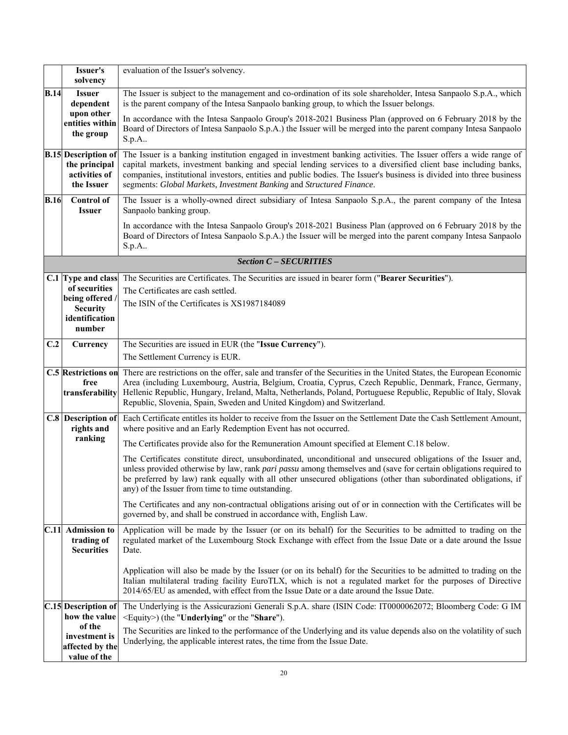|             | Issuer's<br>solvency                                                                                  | evaluation of the Issuer's solvency.                                                                                                                                                                                                                                                                                                                                                                                              |  |  |
|-------------|-------------------------------------------------------------------------------------------------------|-----------------------------------------------------------------------------------------------------------------------------------------------------------------------------------------------------------------------------------------------------------------------------------------------------------------------------------------------------------------------------------------------------------------------------------|--|--|
| <b>B.14</b> | <b>Issuer</b><br>dependent                                                                            | The Issuer is subject to the management and co-ordination of its sole shareholder, Intesa Sanpaolo S.p.A., which<br>is the parent company of the Intesa Sanpaolo banking group, to which the Issuer belongs.                                                                                                                                                                                                                      |  |  |
|             | upon other<br>entities within<br>the group                                                            | In accordance with the Intesa Sanpaolo Group's 2018-2021 Business Plan (approved on 6 February 2018 by the<br>Board of Directors of Intesa Sanpaolo S.p.A.) the Issuer will be merged into the parent company Intesa Sanpaolo<br>$S.p.A.$ .                                                                                                                                                                                       |  |  |
|             | <b>B.15</b> Description of<br>the principal<br>activities of<br>the Issuer                            | The Issuer is a banking institution engaged in investment banking activities. The Issuer offers a wide range of<br>capital markets, investment banking and special lending services to a diversified client base including banks,<br>companies, institutional investors, entities and public bodies. The Issuer's business is divided into three business<br>segments: Global Markets, Investment Banking and Structured Finance. |  |  |
| <b>B.16</b> | <b>Control of</b><br><b>Issuer</b>                                                                    | The Issuer is a wholly-owned direct subsidiary of Intesa Sanpaolo S.p.A., the parent company of the Intesa<br>Sanpaolo banking group.                                                                                                                                                                                                                                                                                             |  |  |
|             |                                                                                                       | In accordance with the Intesa Sanpaolo Group's 2018-2021 Business Plan (approved on 6 February 2018 by the<br>Board of Directors of Intesa Sanpaolo S.p.A.) the Issuer will be merged into the parent company Intesa Sanpaolo<br>S.p.A.                                                                                                                                                                                           |  |  |
|             |                                                                                                       | <b>Section C - SECURITIES</b>                                                                                                                                                                                                                                                                                                                                                                                                     |  |  |
|             | C.1 Type and class<br>of securities<br>being offered /<br><b>Security</b><br>identification<br>number | The Securities are Certificates. The Securities are issued in bearer form ("Bearer Securities").<br>The Certificates are cash settled.<br>The ISIN of the Certificates is XS1987184089                                                                                                                                                                                                                                            |  |  |
| C.2         | Currency                                                                                              | The Securities are issued in EUR (the "Issue Currency").                                                                                                                                                                                                                                                                                                                                                                          |  |  |
|             |                                                                                                       | The Settlement Currency is EUR.                                                                                                                                                                                                                                                                                                                                                                                                   |  |  |
|             | <b>C.5 Restrictions on</b><br>free<br>transferability                                                 | There are restrictions on the offer, sale and transfer of the Securities in the United States, the European Economic<br>Area (including Luxembourg, Austria, Belgium, Croatia, Cyprus, Czech Republic, Denmark, France, Germany,<br>Hellenic Republic, Hungary, Ireland, Malta, Netherlands, Poland, Portuguese Republic, Republic of Italy, Slovak<br>Republic, Slovenia, Spain, Sweden and United Kingdom) and Switzerland.     |  |  |
|             | <b>C.8</b> Description of<br>rights and                                                               | Each Certificate entitles its holder to receive from the Issuer on the Settlement Date the Cash Settlement Amount,<br>where positive and an Early Redemption Event has not occurred.                                                                                                                                                                                                                                              |  |  |
|             | ranking                                                                                               | The Certificates provide also for the Remuneration Amount specified at Element C.18 below.                                                                                                                                                                                                                                                                                                                                        |  |  |
|             |                                                                                                       | The Certificates constitute direct, unsubordinated, unconditional and unsecured obligations of the Issuer and,<br>unless provided otherwise by law, rank pari passu among themselves and (save for certain obligations required to<br>be preferred by law) rank equally with all other unsecured obligations (other than subordinated obligations, if<br>any) of the Issuer from time to time outstanding.                        |  |  |
|             |                                                                                                       | The Certificates and any non-contractual obligations arising out of or in connection with the Certificates will be<br>governed by, and shall be construed in accordance with, English Law.                                                                                                                                                                                                                                        |  |  |
|             | C.11 Admission to<br>trading of<br><b>Securities</b>                                                  | Application will be made by the Issuer (or on its behalf) for the Securities to be admitted to trading on the<br>regulated market of the Luxembourg Stock Exchange with effect from the Issue Date or a date around the Issue<br>Date.                                                                                                                                                                                            |  |  |
|             |                                                                                                       | Application will also be made by the Issuer (or on its behalf) for the Securities to be admitted to trading on the<br>Italian multilateral trading facility EuroTLX, which is not a regulated market for the purposes of Directive<br>2014/65/EU as amended, with effect from the Issue Date or a date around the Issue Date.                                                                                                     |  |  |
|             | C.15 Description of<br>how the value                                                                  | The Underlying is the Assicurazioni Generali S.p.A. share (ISIN Code: IT0000062072; Bloomberg Code: G IM<br><equity>) (the "Underlying" or the "Share").</equity>                                                                                                                                                                                                                                                                 |  |  |
|             | of the<br>investment is<br>affected by the                                                            | The Securities are linked to the performance of the Underlying and its value depends also on the volatility of such<br>Underlying, the applicable interest rates, the time from the Issue Date.                                                                                                                                                                                                                                   |  |  |
|             | value of the                                                                                          |                                                                                                                                                                                                                                                                                                                                                                                                                                   |  |  |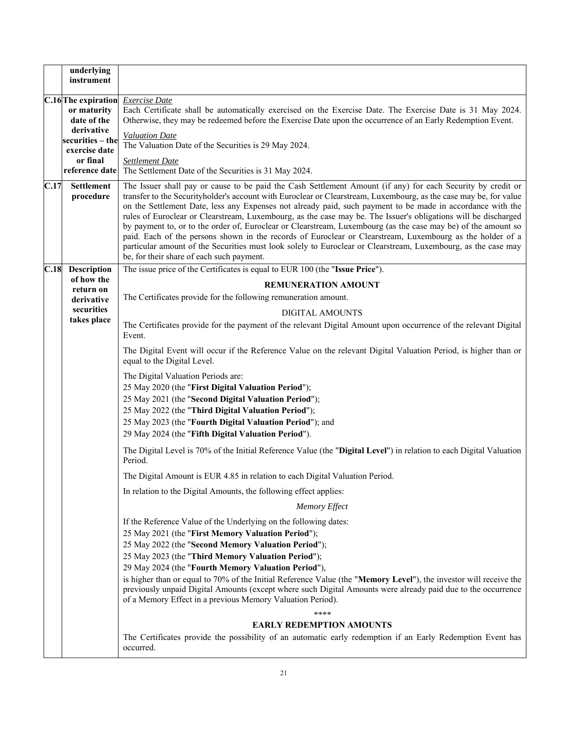|      | underlying<br>instrument                                                                                                           |                                                                                                                                                                                                                                                                                                                                                                                                                                                                                                                                                                                                                                                                                                                                                                                                                                                              |
|------|------------------------------------------------------------------------------------------------------------------------------------|--------------------------------------------------------------------------------------------------------------------------------------------------------------------------------------------------------------------------------------------------------------------------------------------------------------------------------------------------------------------------------------------------------------------------------------------------------------------------------------------------------------------------------------------------------------------------------------------------------------------------------------------------------------------------------------------------------------------------------------------------------------------------------------------------------------------------------------------------------------|
|      | C.16 The expiration<br>or maturity<br>date of the<br>derivative<br>securities – the<br>exercise date<br>or final<br>reference date | <b>Exercise</b> Date<br>Each Certificate shall be automatically exercised on the Exercise Date. The Exercise Date is 31 May 2024.<br>Otherwise, they may be redeemed before the Exercise Date upon the occurrence of an Early Redemption Event.<br><b>Valuation Date</b><br>The Valuation Date of the Securities is 29 May 2024.<br><b>Settlement Date</b><br>The Settlement Date of the Securities is 31 May 2024.                                                                                                                                                                                                                                                                                                                                                                                                                                          |
| C.17 | <b>Settlement</b><br>procedure                                                                                                     | The Issuer shall pay or cause to be paid the Cash Settlement Amount (if any) for each Security by credit or<br>transfer to the Securityholder's account with Euroclear or Clearstream, Luxembourg, as the case may be, for value<br>on the Settlement Date, less any Expenses not already paid, such payment to be made in accordance with the<br>rules of Euroclear or Clearstream, Luxembourg, as the case may be. The Issuer's obligations will be discharged<br>by payment to, or to the order of, Euroclear or Clearstream, Luxembourg (as the case may be) of the amount so<br>paid. Each of the persons shown in the records of Euroclear or Clearstream, Luxembourg as the holder of a<br>particular amount of the Securities must look solely to Euroclear or Clearstream, Luxembourg, as the case may<br>be, for their share of each such payment. |
|      | C.18 Description                                                                                                                   | The issue price of the Certificates is equal to EUR 100 (the "Issue Price").                                                                                                                                                                                                                                                                                                                                                                                                                                                                                                                                                                                                                                                                                                                                                                                 |
|      | of how the<br>return on                                                                                                            | <b>REMUNERATION AMOUNT</b>                                                                                                                                                                                                                                                                                                                                                                                                                                                                                                                                                                                                                                                                                                                                                                                                                                   |
|      | derivative                                                                                                                         | The Certificates provide for the following remuneration amount.                                                                                                                                                                                                                                                                                                                                                                                                                                                                                                                                                                                                                                                                                                                                                                                              |
|      | securities<br>takes place                                                                                                          | <b>DIGITAL AMOUNTS</b>                                                                                                                                                                                                                                                                                                                                                                                                                                                                                                                                                                                                                                                                                                                                                                                                                                       |
|      |                                                                                                                                    | The Certificates provide for the payment of the relevant Digital Amount upon occurrence of the relevant Digital<br>Event.                                                                                                                                                                                                                                                                                                                                                                                                                                                                                                                                                                                                                                                                                                                                    |
|      |                                                                                                                                    | The Digital Event will occur if the Reference Value on the relevant Digital Valuation Period, is higher than or<br>equal to the Digital Level.                                                                                                                                                                                                                                                                                                                                                                                                                                                                                                                                                                                                                                                                                                               |
|      |                                                                                                                                    | The Digital Valuation Periods are:<br>25 May 2020 (the "First Digital Valuation Period");<br>25 May 2021 (the "Second Digital Valuation Period");<br>25 May 2022 (the "Third Digital Valuation Period");<br>25 May 2023 (the "Fourth Digital Valuation Period"); and<br>29 May 2024 (the "Fifth Digital Valuation Period").                                                                                                                                                                                                                                                                                                                                                                                                                                                                                                                                  |
|      |                                                                                                                                    | The Digital Level is 70% of the Initial Reference Value (the "Digital Level") in relation to each Digital Valuation<br>Period.                                                                                                                                                                                                                                                                                                                                                                                                                                                                                                                                                                                                                                                                                                                               |
|      |                                                                                                                                    | The Digital Amount is EUR 4.85 in relation to each Digital Valuation Period.                                                                                                                                                                                                                                                                                                                                                                                                                                                                                                                                                                                                                                                                                                                                                                                 |
|      |                                                                                                                                    | In relation to the Digital Amounts, the following effect applies:                                                                                                                                                                                                                                                                                                                                                                                                                                                                                                                                                                                                                                                                                                                                                                                            |
|      |                                                                                                                                    | <b>Memory Effect</b>                                                                                                                                                                                                                                                                                                                                                                                                                                                                                                                                                                                                                                                                                                                                                                                                                                         |
|      |                                                                                                                                    | If the Reference Value of the Underlying on the following dates:<br>25 May 2021 (the "First Memory Valuation Period");<br>25 May 2022 (the "Second Memory Valuation Period");<br>25 May 2023 (the "Third Memory Valuation Period");<br>29 May 2024 (the "Fourth Memory Valuation Period"),                                                                                                                                                                                                                                                                                                                                                                                                                                                                                                                                                                   |
|      |                                                                                                                                    | is higher than or equal to 70% of the Initial Reference Value (the "Memory Level"), the investor will receive the<br>previously unpaid Digital Amounts (except where such Digital Amounts were already paid due to the occurrence<br>of a Memory Effect in a previous Memory Valuation Period).                                                                                                                                                                                                                                                                                                                                                                                                                                                                                                                                                              |
|      |                                                                                                                                    | ****                                                                                                                                                                                                                                                                                                                                                                                                                                                                                                                                                                                                                                                                                                                                                                                                                                                         |
|      |                                                                                                                                    | <b>EARLY REDEMPTION AMOUNTS</b>                                                                                                                                                                                                                                                                                                                                                                                                                                                                                                                                                                                                                                                                                                                                                                                                                              |
|      |                                                                                                                                    | The Certificates provide the possibility of an automatic early redemption if an Early Redemption Event has<br>occurred.                                                                                                                                                                                                                                                                                                                                                                                                                                                                                                                                                                                                                                                                                                                                      |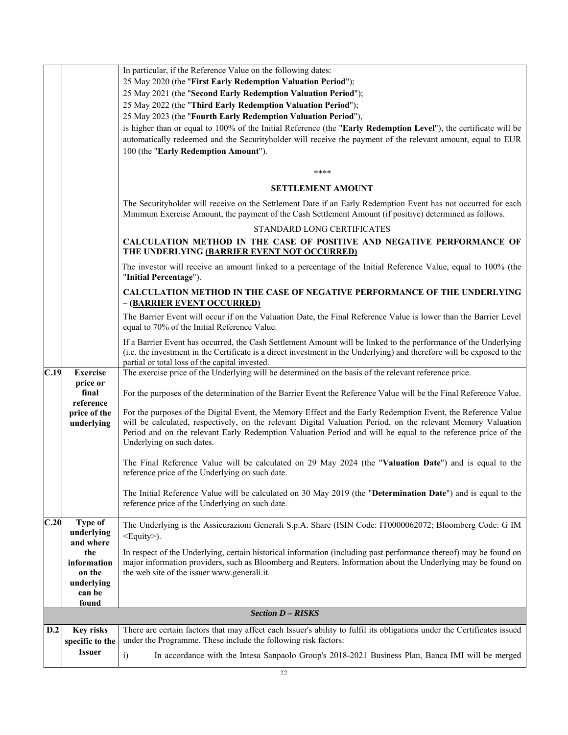|      |                                                      | In particular, if the Reference Value on the following dates:<br>25 May 2020 (the "First Early Redemption Valuation Period");<br>25 May 2021 (the "Second Early Redemption Valuation Period");<br>25 May 2022 (the "Third Early Redemption Valuation Period");<br>25 May 2023 (the "Fourth Early Redemption Valuation Period"),<br>is higher than or equal to 100% of the Initial Reference (the "Early Redemption Level"), the certificate will be<br>automatically redeemed and the Securityholder will receive the payment of the relevant amount, equal to EUR<br>100 (the "Early Redemption Amount").<br>****<br><b>SETTLEMENT AMOUNT</b><br>The Securityholder will receive on the Settlement Date if an Early Redemption Event has not occurred for each |
|------|------------------------------------------------------|-----------------------------------------------------------------------------------------------------------------------------------------------------------------------------------------------------------------------------------------------------------------------------------------------------------------------------------------------------------------------------------------------------------------------------------------------------------------------------------------------------------------------------------------------------------------------------------------------------------------------------------------------------------------------------------------------------------------------------------------------------------------|
|      |                                                      | Minimum Exercise Amount, the payment of the Cash Settlement Amount (if positive) determined as follows.<br>STANDARD LONG CERTIFICATES                                                                                                                                                                                                                                                                                                                                                                                                                                                                                                                                                                                                                           |
|      |                                                      | CALCULATION METHOD IN THE CASE OF POSITIVE AND NEGATIVE PERFORMANCE OF<br>THE UNDERLYING (BARRIER EVENT NOT OCCURRED)                                                                                                                                                                                                                                                                                                                                                                                                                                                                                                                                                                                                                                           |
|      |                                                      | The investor will receive an amount linked to a percentage of the Initial Reference Value, equal to 100% (the<br>"Initial Percentage").                                                                                                                                                                                                                                                                                                                                                                                                                                                                                                                                                                                                                         |
|      |                                                      | <b>CALCULATION METHOD IN THE CASE OF NEGATIVE PERFORMANCE OF THE UNDERLYING</b><br>- (BARRIER EVENT OCCURRED)                                                                                                                                                                                                                                                                                                                                                                                                                                                                                                                                                                                                                                                   |
|      |                                                      | The Barrier Event will occur if on the Valuation Date, the Final Reference Value is lower than the Barrier Level<br>equal to 70% of the Initial Reference Value.                                                                                                                                                                                                                                                                                                                                                                                                                                                                                                                                                                                                |
|      |                                                      | If a Barrier Event has occurred, the Cash Settlement Amount will be linked to the performance of the Underlying<br>(i.e. the investment in the Certificate is a direct investment in the Underlying) and therefore will be exposed to the<br>partial or total loss of the capital invested.                                                                                                                                                                                                                                                                                                                                                                                                                                                                     |
| C.19 | <b>Exercise</b><br>price or                          | The exercise price of the Underlying will be determined on the basis of the relevant reference price.                                                                                                                                                                                                                                                                                                                                                                                                                                                                                                                                                                                                                                                           |
|      | final<br>reference                                   | For the purposes of the determination of the Barrier Event the Reference Value will be the Final Reference Value.                                                                                                                                                                                                                                                                                                                                                                                                                                                                                                                                                                                                                                               |
|      | price of the<br>underlying                           | For the purposes of the Digital Event, the Memory Effect and the Early Redemption Event, the Reference Value<br>will be calculated, respectively, on the relevant Digital Valuation Period, on the relevant Memory Valuation<br>Period and on the relevant Early Redemption Valuation Period and will be equal to the reference price of the<br>Underlying on such dates.                                                                                                                                                                                                                                                                                                                                                                                       |
|      |                                                      | The Final Reference Value will be calculated on 29 May 2024 (the "Valuation Date") and is equal to the<br>reference price of the Underlying on such date.                                                                                                                                                                                                                                                                                                                                                                                                                                                                                                                                                                                                       |
|      |                                                      | The Initial Reference Value will be calculated on 30 May 2019 (the "Determination Date") and is equal to the<br>reference price of the Underlying on such date.                                                                                                                                                                                                                                                                                                                                                                                                                                                                                                                                                                                                 |
| C.20 | Type of<br>underlying<br>and where                   | The Underlying is the Assicurazioni Generali S.p.A. Share (ISIN Code: IT0000062072; Bloomberg Code: G IM<br><equity>).</equity>                                                                                                                                                                                                                                                                                                                                                                                                                                                                                                                                                                                                                                 |
|      | the<br>information<br>on the<br>underlying<br>can be | In respect of the Underlying, certain historical information (including past performance thereof) may be found on<br>major information providers, such as Bloomberg and Reuters. Information about the Underlying may be found on<br>the web site of the issuer www.generali.it.                                                                                                                                                                                                                                                                                                                                                                                                                                                                                |
|      | found                                                |                                                                                                                                                                                                                                                                                                                                                                                                                                                                                                                                                                                                                                                                                                                                                                 |
|      |                                                      | <b>Section D - RISKS</b>                                                                                                                                                                                                                                                                                                                                                                                                                                                                                                                                                                                                                                                                                                                                        |
| D.2  | <b>Key risks</b><br>specific to the                  | There are certain factors that may affect each Issuer's ability to fulfil its obligations under the Certificates issued<br>under the Programme. These include the following risk factors:                                                                                                                                                                                                                                                                                                                                                                                                                                                                                                                                                                       |
|      | <b>Issuer</b>                                        | $\ddot{i}$<br>In accordance with the Intesa Sanpaolo Group's 2018-2021 Business Plan, Banca IMI will be merged                                                                                                                                                                                                                                                                                                                                                                                                                                                                                                                                                                                                                                                  |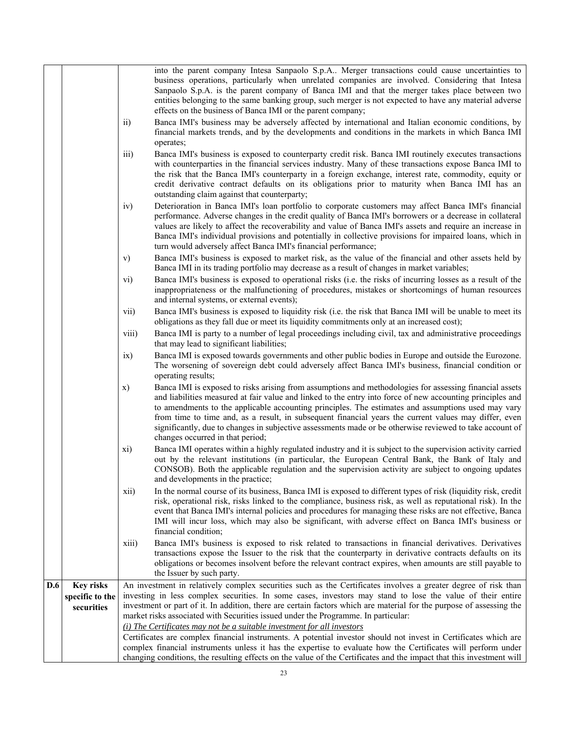|     |                  |                                                                                                                                                                                                            | into the parent company Intesa Sanpaolo S.p.A Merger transactions could cause uncertainties to                                                                                                                                                                                                                                                                                                                                                                                                                                                                                       |
|-----|------------------|------------------------------------------------------------------------------------------------------------------------------------------------------------------------------------------------------------|--------------------------------------------------------------------------------------------------------------------------------------------------------------------------------------------------------------------------------------------------------------------------------------------------------------------------------------------------------------------------------------------------------------------------------------------------------------------------------------------------------------------------------------------------------------------------------------|
|     |                  |                                                                                                                                                                                                            | business operations, particularly when unrelated companies are involved. Considering that Intesa<br>Sanpaolo S.p.A. is the parent company of Banca IMI and that the merger takes place between two<br>entities belonging to the same banking group, such merger is not expected to have any material adverse<br>effects on the business of Banca IMI or the parent company;                                                                                                                                                                                                          |
|     |                  | $\rm ii)$                                                                                                                                                                                                  | Banca IMI's business may be adversely affected by international and Italian economic conditions, by<br>financial markets trends, and by the developments and conditions in the markets in which Banca IMI<br>operates;                                                                                                                                                                                                                                                                                                                                                               |
|     |                  | iii)                                                                                                                                                                                                       | Banca IMI's business is exposed to counterparty credit risk. Banca IMI routinely executes transactions<br>with counterparties in the financial services industry. Many of these transactions expose Banca IMI to<br>the risk that the Banca IMI's counterparty in a foreign exchange, interest rate, commodity, equity or<br>credit derivative contract defaults on its obligations prior to maturity when Banca IMI has an<br>outstanding claim against that counterparty;                                                                                                          |
|     |                  | iv)                                                                                                                                                                                                        | Deterioration in Banca IMI's loan portfolio to corporate customers may affect Banca IMI's financial<br>performance. Adverse changes in the credit quality of Banca IMI's borrowers or a decrease in collateral<br>values are likely to affect the recoverability and value of Banca IMI's assets and require an increase in<br>Banca IMI's individual provisions and potentially in collective provisions for impaired loans, which in<br>turn would adversely affect Banca IMI's financial performance;                                                                             |
|     |                  | V)                                                                                                                                                                                                         | Banca IMI's business is exposed to market risk, as the value of the financial and other assets held by<br>Banca IMI in its trading portfolio may decrease as a result of changes in market variables;                                                                                                                                                                                                                                                                                                                                                                                |
|     |                  | vi)                                                                                                                                                                                                        | Banca IMI's business is exposed to operational risks (i.e. the risks of incurring losses as a result of the<br>inappropriateness or the malfunctioning of procedures, mistakes or shortcomings of human resources<br>and internal systems, or external events);                                                                                                                                                                                                                                                                                                                      |
|     |                  | vii)                                                                                                                                                                                                       | Banca IMI's business is exposed to liquidity risk (i.e. the risk that Banca IMI will be unable to meet its<br>obligations as they fall due or meet its liquidity commitments only at an increased cost);                                                                                                                                                                                                                                                                                                                                                                             |
|     |                  | viii)                                                                                                                                                                                                      | Banca IMI is party to a number of legal proceedings including civil, tax and administrative proceedings<br>that may lead to significant liabilities;                                                                                                                                                                                                                                                                                                                                                                                                                                 |
|     |                  | ix)                                                                                                                                                                                                        | Banca IMI is exposed towards governments and other public bodies in Europe and outside the Eurozone.<br>The worsening of sovereign debt could adversely affect Banca IMI's business, financial condition or<br>operating results;                                                                                                                                                                                                                                                                                                                                                    |
|     |                  | X)                                                                                                                                                                                                         | Banca IMI is exposed to risks arising from assumptions and methodologies for assessing financial assets<br>and liabilities measured at fair value and linked to the entry into force of new accounting principles and<br>to amendments to the applicable accounting principles. The estimates and assumptions used may vary<br>from time to time and, as a result, in subsequent financial years the current values may differ, even<br>significantly, due to changes in subjective assessments made or be otherwise reviewed to take account of<br>changes occurred in that period; |
|     |                  | xi)                                                                                                                                                                                                        | Banca IMI operates within a highly regulated industry and it is subject to the supervision activity carried<br>out by the relevant institutions (in particular, the European Central Bank, the Bank of Italy and<br>CONSOB). Both the applicable regulation and the supervision activity are subject to ongoing updates<br>and developments in the practice;                                                                                                                                                                                                                         |
|     |                  | xii)                                                                                                                                                                                                       | In the normal course of its business, Banca IMI is exposed to different types of risk (liquidity risk, credit<br>risk, operational risk, risks linked to the compliance, business risk, as well as reputational risk). In the<br>event that Banca IMI's internal policies and procedures for managing these risks are not effective, Banca<br>IMI will incur loss, which may also be significant, with adverse effect on Banca IMI's business or<br>financial condition;                                                                                                             |
|     |                  | xiii)                                                                                                                                                                                                      | Banca IMI's business is exposed to risk related to transactions in financial derivatives. Derivatives<br>transactions expose the Issuer to the risk that the counterparty in derivative contracts defaults on its<br>obligations or becomes insolvent before the relevant contract expires, when amounts are still payable to<br>the Issuer by such party.                                                                                                                                                                                                                           |
| D.6 | <b>Key risks</b> |                                                                                                                                                                                                            | An investment in relatively complex securities such as the Certificates involves a greater degree of risk than                                                                                                                                                                                                                                                                                                                                                                                                                                                                       |
|     | specific to the  |                                                                                                                                                                                                            | investing in less complex securities. In some cases, investors may stand to lose the value of their entire                                                                                                                                                                                                                                                                                                                                                                                                                                                                           |
|     | securities       | investment or part of it. In addition, there are certain factors which are material for the purpose of assessing the<br>market risks associated with Securities issued under the Programme. In particular: |                                                                                                                                                                                                                                                                                                                                                                                                                                                                                                                                                                                      |
|     |                  |                                                                                                                                                                                                            | $(i)$ The Certificates may not be a suitable investment for all investors                                                                                                                                                                                                                                                                                                                                                                                                                                                                                                            |
|     |                  |                                                                                                                                                                                                            | Certificates are complex financial instruments. A potential investor should not invest in Certificates which are                                                                                                                                                                                                                                                                                                                                                                                                                                                                     |
|     |                  |                                                                                                                                                                                                            | complex financial instruments unless it has the expertise to evaluate how the Certificates will perform under<br>changing conditions, the resulting effects on the value of the Certificates and the impact that this investment will                                                                                                                                                                                                                                                                                                                                                |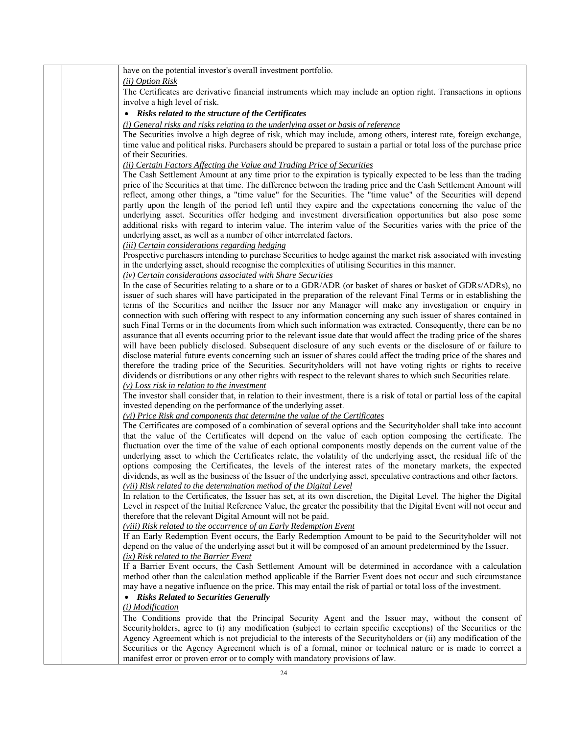| have on the potential investor's overall investment portfolio.                                                             |
|----------------------------------------------------------------------------------------------------------------------------|
| ( <i>ii</i> ) Option Risk                                                                                                  |
| The Certificates are derivative financial instruments which may include an option right. Transactions in options           |
| involve a high level of risk.                                                                                              |
| • Risks related to the structure of the Certificates                                                                       |
| (i) General risks and risks relating to the underlying asset or basis of reference                                         |
| The Securities involve a high degree of risk, which may include, among others, interest rate, foreign exchange,            |
| time value and political risks. Purchasers should be prepared to sustain a partial or total loss of the purchase price     |
| of their Securities.                                                                                                       |
| (ii) Certain Factors Affecting the Value and Trading Price of Securities                                                   |
| The Cash Settlement Amount at any time prior to the expiration is typically expected to be less than the trading           |
| price of the Securities at that time. The difference between the trading price and the Cash Settlement Amount will         |
| reflect, among other things, a "time value" for the Securities. The "time value" of the Securities will depend             |
| partly upon the length of the period left until they expire and the expectations concerning the value of the               |
| underlying asset. Securities offer hedging and investment diversification opportunities but also pose some                 |
| additional risks with regard to interim value. The interim value of the Securities varies with the price of the            |
| underlying asset, as well as a number of other interrelated factors.                                                       |
| (iii) Certain considerations regarding hedging                                                                             |
| Prospective purchasers intending to purchase Securities to hedge against the market risk associated with investing         |
| in the underlying asset, should recognise the complexities of utilising Securities in this manner.                         |
| (iv) Certain considerations associated with Share Securities                                                               |
| In the case of Securities relating to a share or to a GDR/ADR (or basket of shares or basket of GDRs/ADRs), no             |
| issuer of such shares will have participated in the preparation of the relevant Final Terms or in establishing the         |
| terms of the Securities and neither the Issuer nor any Manager will make any investigation or enquiry in                   |
| connection with such offering with respect to any information concerning any such issuer of shares contained in            |
| such Final Terms or in the documents from which such information was extracted. Consequently, there can be no              |
| assurance that all events occurring prior to the relevant issue date that would affect the trading price of the shares     |
| will have been publicly disclosed. Subsequent disclosure of any such events or the disclosure of or failure to             |
| disclose material future events concerning such an issuer of shares could affect the trading price of the shares and       |
| therefore the trading price of the Securities. Securityholders will not have voting rights or rights to receive            |
| dividends or distributions or any other rights with respect to the relevant shares to which such Securities relate.        |
| $(v)$ Loss risk in relation to the investment                                                                              |
| The investor shall consider that, in relation to their investment, there is a risk of total or partial loss of the capital |
| invested depending on the performance of the underlying asset.                                                             |
| (vi) Price Risk and components that determine the value of the Certificates                                                |
| The Certificates are composed of a combination of several options and the Securityholder shall take into account           |
| that the value of the Certificates will depend on the value of each option composing the certificate. The                  |
| fluctuation over the time of the value of each optional components mostly depends on the current value of the              |
| underlying asset to which the Certificates relate, the volatility of the underlying asset, the residual life of the        |
| options composing the Certificates, the levels of the interest rates of the monetary markets, the expected                 |
| dividends, as well as the business of the Issuer of the underlying asset, speculative contractions and other factors.      |
| (vii) Risk related to the determination method of the Digital Level                                                        |
| In relation to the Certificates, the Issuer has set, at its own discretion, the Digital Level. The higher the Digital      |
| Level in respect of the Initial Reference Value, the greater the possibility that the Digital Event will not occur and     |
| therefore that the relevant Digital Amount will not be paid.                                                               |
| (viii) Risk related to the occurrence of an Early Redemption Event                                                         |
| If an Early Redemption Event occurs, the Early Redemption Amount to be paid to the Securityholder will not                 |
| depend on the value of the underlying asset but it will be composed of an amount predetermined by the Issuer.              |
| (ix) Risk related to the Barrier Event                                                                                     |
| If a Barrier Event occurs, the Cash Settlement Amount will be determined in accordance with a calculation                  |
| method other than the calculation method applicable if the Barrier Event does not occur and such circumstance              |
| may have a negative influence on the price. This may entail the risk of partial or total loss of the investment.           |
| • Risks Related to Securities Generally                                                                                    |
| (i) Modification                                                                                                           |
| The Conditions provide that the Principal Security Agent and the Issuer may, without the consent of                        |
| Securityholders, agree to (i) any modification (subject to certain specific exceptions) of the Securities or the           |
| Agency Agreement which is not prejudicial to the interests of the Securityholders or (ii) any modification of the          |
| Securities or the Agency Agreement which is of a formal, minor or technical nature or is made to correct a                 |
| manifest error or proven error or to comply with mandatory provisions of law.                                              |
| 24                                                                                                                         |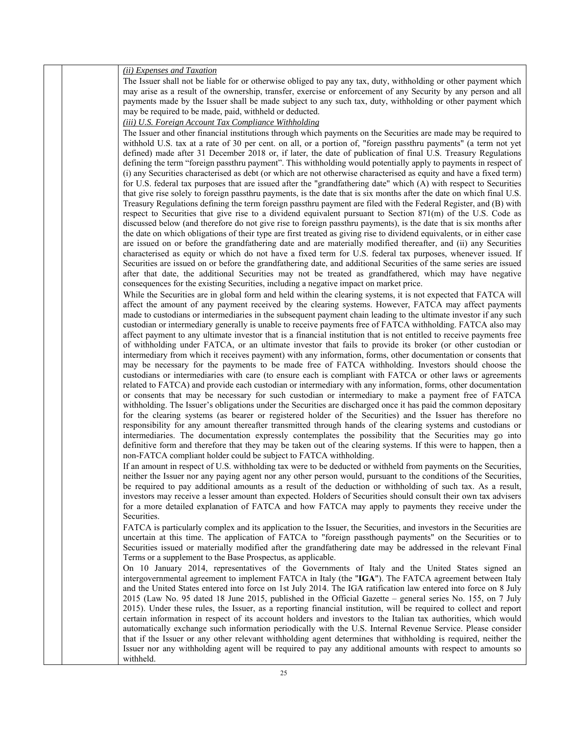| (ii) Expenses and Taxation                                                                                                                                                                                                                |
|-------------------------------------------------------------------------------------------------------------------------------------------------------------------------------------------------------------------------------------------|
| The Issuer shall not be liable for or otherwise obliged to pay any tax, duty, withholding or other payment which<br>may arise as a result of the ownership, transfer, exercise or enforcement of any Security by any person and all       |
| payments made by the Issuer shall be made subject to any such tax, duty, withholding or other payment which                                                                                                                               |
| may be required to be made, paid, withheld or deducted.                                                                                                                                                                                   |
| (iii) U.S. Foreign Account Tax Compliance Withholding                                                                                                                                                                                     |
| The Issuer and other financial institutions through which payments on the Securities are made may be required to                                                                                                                          |
| withhold U.S. tax at a rate of 30 per cent. on all, or a portion of, "foreign passthru payments" (a term not yet                                                                                                                          |
| defined) made after 31 December 2018 or, if later, the date of publication of final U.S. Treasury Regulations                                                                                                                             |
| defining the term "foreign passthru payment". This withholding would potentially apply to payments in respect of                                                                                                                          |
| (i) any Securities characterised as debt (or which are not otherwise characterised as equity and have a fixed term)<br>for U.S. federal tax purposes that are issued after the "grandfathering date" which (A) with respect to Securities |
| that give rise solely to foreign passthru payments, is the date that is six months after the date on which final U.S.                                                                                                                     |
| Treasury Regulations defining the term foreign passthru payment are filed with the Federal Register, and (B) with                                                                                                                         |
| respect to Securities that give rise to a dividend equivalent pursuant to Section 871(m) of the U.S. Code as                                                                                                                              |
| discussed below (and therefore do not give rise to foreign passthru payments), is the date that is six months after                                                                                                                       |
| the date on which obligations of their type are first treated as giving rise to dividend equivalents, or in either case                                                                                                                   |
| are issued on or before the grandfathering date and are materially modified thereafter, and (ii) any Securities<br>characterised as equity or which do not have a fixed term for U.S. federal tax purposes, whenever issued. If           |
| Securities are issued on or before the grandfathering date, and additional Securities of the same series are issued                                                                                                                       |
| after that date, the additional Securities may not be treated as grandfathered, which may have negative                                                                                                                                   |
| consequences for the existing Securities, including a negative impact on market price.                                                                                                                                                    |
| While the Securities are in global form and held within the clearing systems, it is not expected that FATCA will                                                                                                                          |
| affect the amount of any payment received by the clearing systems. However, FATCA may affect payments                                                                                                                                     |
| made to custodians or intermediaries in the subsequent payment chain leading to the ultimate investor if any such<br>custodian or intermediary generally is unable to receive payments free of FATCA withholding. FATCA also may          |
| affect payment to any ultimate investor that is a financial institution that is not entitled to receive payments free                                                                                                                     |
| of withholding under FATCA, or an ultimate investor that fails to provide its broker (or other custodian or                                                                                                                               |
| intermediary from which it receives payment) with any information, forms, other documentation or consents that                                                                                                                            |
| may be necessary for the payments to be made free of FATCA withholding. Investors should choose the                                                                                                                                       |
| custodians or intermediaries with care (to ensure each is compliant with FATCA or other laws or agreements<br>related to FATCA) and provide each custodian or intermediary with any information, forms, other documentation               |
| or consents that may be necessary for such custodian or intermediary to make a payment free of FATCA                                                                                                                                      |
| withholding. The Issuer's obligations under the Securities are discharged once it has paid the common depositary                                                                                                                          |
| for the clearing systems (as bearer or registered holder of the Securities) and the Issuer has therefore no                                                                                                                               |
| responsibility for any amount thereafter transmitted through hands of the clearing systems and custodians or                                                                                                                              |
| intermediaries. The documentation expressly contemplates the possibility that the Securities may go into                                                                                                                                  |
| definitive form and therefore that they may be taken out of the clearing systems. If this were to happen, then a<br>non-FATCA compliant holder could be subject to FATCA withholding.                                                     |
| If an amount in respect of U.S. withholding tax were to be deducted or withheld from payments on the Securities,                                                                                                                          |
| neither the Issuer nor any paying agent nor any other person would, pursuant to the conditions of the Securities,                                                                                                                         |
| be required to pay additional amounts as a result of the deduction or withholding of such tax. As a result,                                                                                                                               |
| investors may receive a lesser amount than expected. Holders of Securities should consult their own tax advisers                                                                                                                          |
| for a more detailed explanation of FATCA and how FATCA may apply to payments they receive under the<br>Securities.                                                                                                                        |
| FATCA is particularly complex and its application to the Issuer, the Securities, and investors in the Securities are                                                                                                                      |
| uncertain at this time. The application of FATCA to "foreign passthough payments" on the Securities or to                                                                                                                                 |
| Securities issued or materially modified after the grandfathering date may be addressed in the relevant Final                                                                                                                             |
| Terms or a supplement to the Base Prospectus, as applicable.                                                                                                                                                                              |
| On 10 January 2014, representatives of the Governments of Italy and the United States signed an                                                                                                                                           |
| intergovernmental agreement to implement FATCA in Italy (the "IGA"). The FATCA agreement between Italy<br>and the United States entered into force on 1st July 2014. The IGA ratification law entered into force on 8 July                |
| 2015 (Law No. 95 dated 18 June 2015, published in the Official Gazette – general series No. 155, on 7 July                                                                                                                                |
| 2015). Under these rules, the Issuer, as a reporting financial institution, will be required to collect and report                                                                                                                        |
| certain information in respect of its account holders and investors to the Italian tax authorities, which would                                                                                                                           |
| automatically exchange such information periodically with the U.S. Internal Revenue Service. Please consider                                                                                                                              |
| that if the Issuer or any other relevant withholding agent determines that withholding is required, neither the                                                                                                                           |
| Issuer nor any withholding agent will be required to pay any additional amounts with respect to amounts so<br>withheld.                                                                                                                   |
|                                                                                                                                                                                                                                           |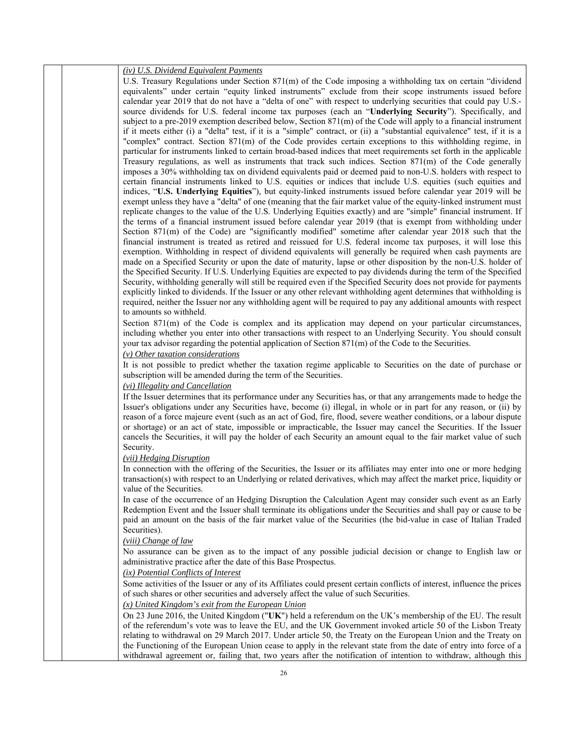| (iv) U.S. Dividend Equivalent Payments                                                                                                                                                                                                                                                                                                                                                                                                                                                                                                                                                                                                                                                                                                                                                                                                                                                                                                                                                                                                                                                                                                                                                                                                                                                                                                                                                                                                                                                                                                                                                                                                                                                                                                                                                                                                                                                                                                                                                                                                                                                                                                                                                                                                                                                                                                                                                                                                                                                                                                                                                                                                                                                                                                 |
|----------------------------------------------------------------------------------------------------------------------------------------------------------------------------------------------------------------------------------------------------------------------------------------------------------------------------------------------------------------------------------------------------------------------------------------------------------------------------------------------------------------------------------------------------------------------------------------------------------------------------------------------------------------------------------------------------------------------------------------------------------------------------------------------------------------------------------------------------------------------------------------------------------------------------------------------------------------------------------------------------------------------------------------------------------------------------------------------------------------------------------------------------------------------------------------------------------------------------------------------------------------------------------------------------------------------------------------------------------------------------------------------------------------------------------------------------------------------------------------------------------------------------------------------------------------------------------------------------------------------------------------------------------------------------------------------------------------------------------------------------------------------------------------------------------------------------------------------------------------------------------------------------------------------------------------------------------------------------------------------------------------------------------------------------------------------------------------------------------------------------------------------------------------------------------------------------------------------------------------------------------------------------------------------------------------------------------------------------------------------------------------------------------------------------------------------------------------------------------------------------------------------------------------------------------------------------------------------------------------------------------------------------------------------------------------------------------------------------------------|
| U.S. Treasury Regulations under Section $871(m)$ of the Code imposing a withholding tax on certain "dividend"<br>equivalents" under certain "equity linked instruments" exclude from their scope instruments issued before<br>calendar year 2019 that do not have a "delta of one" with respect to underlying securities that could pay U.S.-<br>source dividends for U.S. federal income tax purposes (each an "Underlying Security"). Specifically, and<br>subject to a pre-2019 exemption described below, Section $871(m)$ of the Code will apply to a financial instrument<br>if it meets either (i) a "delta" test, if it is a "simple" contract, or (ii) a "substantial equivalence" test, if it is a<br>"complex" contract. Section 871(m) of the Code provides certain exceptions to this withholding regime, in<br>particular for instruments linked to certain broad-based indices that meet requirements set forth in the applicable<br>Treasury regulations, as well as instruments that track such indices. Section 871(m) of the Code generally<br>imposes a 30% withholding tax on dividend equivalents paid or deemed paid to non-U.S. holders with respect to<br>certain financial instruments linked to U.S. equities or indices that include U.S. equities (such equities and<br>indices, "U.S. Underlying Equities"), but equity-linked instruments issued before calendar year 2019 will be<br>exempt unless they have a "delta" of one (meaning that the fair market value of the equity-linked instrument must<br>replicate changes to the value of the U.S. Underlying Equities exactly) and are "simple" financial instrument. If<br>the terms of a financial instrument issued before calendar year 2019 (that is exempt from withholding under<br>Section 871(m) of the Code) are "significantly modified" sometime after calendar year 2018 such that the<br>financial instrument is treated as retired and reissued for U.S. federal income tax purposes, it will lose this<br>exemption. Withholding in respect of dividend equivalents will generally be required when cash payments are<br>made on a Specified Security or upon the date of maturity, lapse or other disposition by the non-U.S. holder of<br>the Specified Security. If U.S. Underlying Equities are expected to pay dividends during the term of the Specified<br>Security, withholding generally will still be required even if the Specified Security does not provide for payments<br>explicitly linked to dividends. If the Issuer or any other relevant withholding agent determines that withholding is<br>required, neither the Issuer nor any withholding agent will be required to pay any additional amounts with respect |
| to amounts so withheld.                                                                                                                                                                                                                                                                                                                                                                                                                                                                                                                                                                                                                                                                                                                                                                                                                                                                                                                                                                                                                                                                                                                                                                                                                                                                                                                                                                                                                                                                                                                                                                                                                                                                                                                                                                                                                                                                                                                                                                                                                                                                                                                                                                                                                                                                                                                                                                                                                                                                                                                                                                                                                                                                                                                |
| Section 871(m) of the Code is complex and its application may depend on your particular circumstances,<br>including whether you enter into other transactions with respect to an Underlying Security. You should consult<br>your tax advisor regarding the potential application of Section $871(m)$ of the Code to the Securities.                                                                                                                                                                                                                                                                                                                                                                                                                                                                                                                                                                                                                                                                                                                                                                                                                                                                                                                                                                                                                                                                                                                                                                                                                                                                                                                                                                                                                                                                                                                                                                                                                                                                                                                                                                                                                                                                                                                                                                                                                                                                                                                                                                                                                                                                                                                                                                                                    |
| $(v)$ Other taxation considerations<br>It is not possible to predict whether the taxation regime applicable to Securities on the date of purchase or<br>subscription will be amended during the term of the Securities.                                                                                                                                                                                                                                                                                                                                                                                                                                                                                                                                                                                                                                                                                                                                                                                                                                                                                                                                                                                                                                                                                                                                                                                                                                                                                                                                                                                                                                                                                                                                                                                                                                                                                                                                                                                                                                                                                                                                                                                                                                                                                                                                                                                                                                                                                                                                                                                                                                                                                                                |
| (vi) Illegality and Cancellation                                                                                                                                                                                                                                                                                                                                                                                                                                                                                                                                                                                                                                                                                                                                                                                                                                                                                                                                                                                                                                                                                                                                                                                                                                                                                                                                                                                                                                                                                                                                                                                                                                                                                                                                                                                                                                                                                                                                                                                                                                                                                                                                                                                                                                                                                                                                                                                                                                                                                                                                                                                                                                                                                                       |
| If the Issuer determines that its performance under any Securities has, or that any arrangements made to hedge the<br>Issuer's obligations under any Securities have, become (i) illegal, in whole or in part for any reason, or (ii) by<br>reason of a force majeure event (such as an act of God, fire, flood, severe weather conditions, or a labour dispute<br>or shortage) or an act of state, impossible or impracticable, the Issuer may cancel the Securities. If the Issuer<br>cancels the Securities, it will pay the holder of each Security an amount equal to the fair market value of such<br>Security.                                                                                                                                                                                                                                                                                                                                                                                                                                                                                                                                                                                                                                                                                                                                                                                                                                                                                                                                                                                                                                                                                                                                                                                                                                                                                                                                                                                                                                                                                                                                                                                                                                                                                                                                                                                                                                                                                                                                                                                                                                                                                                                  |
| <i>(vii)</i> Hedging Disruption                                                                                                                                                                                                                                                                                                                                                                                                                                                                                                                                                                                                                                                                                                                                                                                                                                                                                                                                                                                                                                                                                                                                                                                                                                                                                                                                                                                                                                                                                                                                                                                                                                                                                                                                                                                                                                                                                                                                                                                                                                                                                                                                                                                                                                                                                                                                                                                                                                                                                                                                                                                                                                                                                                        |
| In connection with the offering of the Securities, the Issuer or its affiliates may enter into one or more hedging<br>transaction(s) with respect to an Underlying or related derivatives, which may affect the market price, liquidity or<br>value of the Securities.                                                                                                                                                                                                                                                                                                                                                                                                                                                                                                                                                                                                                                                                                                                                                                                                                                                                                                                                                                                                                                                                                                                                                                                                                                                                                                                                                                                                                                                                                                                                                                                                                                                                                                                                                                                                                                                                                                                                                                                                                                                                                                                                                                                                                                                                                                                                                                                                                                                                 |
| In case of the occurrence of an Hedging Disruption the Calculation Agent may consider such event as an Early<br>Redemption Event and the Issuer shall terminate its obligations under the Securities and shall pay or cause to be<br>paid an amount on the basis of the fair market value of the Securities (the bid-value in case of Italian Traded<br>Securities).                                                                                                                                                                                                                                                                                                                                                                                                                                                                                                                                                                                                                                                                                                                                                                                                                                                                                                                                                                                                                                                                                                                                                                                                                                                                                                                                                                                                                                                                                                                                                                                                                                                                                                                                                                                                                                                                                                                                                                                                                                                                                                                                                                                                                                                                                                                                                                   |
| (viii) Change of law                                                                                                                                                                                                                                                                                                                                                                                                                                                                                                                                                                                                                                                                                                                                                                                                                                                                                                                                                                                                                                                                                                                                                                                                                                                                                                                                                                                                                                                                                                                                                                                                                                                                                                                                                                                                                                                                                                                                                                                                                                                                                                                                                                                                                                                                                                                                                                                                                                                                                                                                                                                                                                                                                                                   |
| No assurance can be given as to the impact of any possible judicial decision or change to English law or<br>administrative practice after the date of this Base Prospectus.<br>(ix) Potential Conflicts of Interest                                                                                                                                                                                                                                                                                                                                                                                                                                                                                                                                                                                                                                                                                                                                                                                                                                                                                                                                                                                                                                                                                                                                                                                                                                                                                                                                                                                                                                                                                                                                                                                                                                                                                                                                                                                                                                                                                                                                                                                                                                                                                                                                                                                                                                                                                                                                                                                                                                                                                                                    |
| Some activities of the Issuer or any of its Affiliates could present certain conflicts of interest, influence the prices                                                                                                                                                                                                                                                                                                                                                                                                                                                                                                                                                                                                                                                                                                                                                                                                                                                                                                                                                                                                                                                                                                                                                                                                                                                                                                                                                                                                                                                                                                                                                                                                                                                                                                                                                                                                                                                                                                                                                                                                                                                                                                                                                                                                                                                                                                                                                                                                                                                                                                                                                                                                               |
| of such shares or other securities and adversely affect the value of such Securities.                                                                                                                                                                                                                                                                                                                                                                                                                                                                                                                                                                                                                                                                                                                                                                                                                                                                                                                                                                                                                                                                                                                                                                                                                                                                                                                                                                                                                                                                                                                                                                                                                                                                                                                                                                                                                                                                                                                                                                                                                                                                                                                                                                                                                                                                                                                                                                                                                                                                                                                                                                                                                                                  |
| (x) United Kingdom's exit from the European Union                                                                                                                                                                                                                                                                                                                                                                                                                                                                                                                                                                                                                                                                                                                                                                                                                                                                                                                                                                                                                                                                                                                                                                                                                                                                                                                                                                                                                                                                                                                                                                                                                                                                                                                                                                                                                                                                                                                                                                                                                                                                                                                                                                                                                                                                                                                                                                                                                                                                                                                                                                                                                                                                                      |
| On 23 June 2016, the United Kingdom ("UK") held a referendum on the UK's membership of the EU. The result<br>of the referendum's vote was to leave the EU, and the UK Government invoked article 50 of the Lisbon Treaty<br>relating to withdrawal on 29 March 2017. Under article 50, the Treaty on the European Union and the Treaty on<br>the Functioning of the European Union cease to apply in the relevant state from the date of entry into force of a                                                                                                                                                                                                                                                                                                                                                                                                                                                                                                                                                                                                                                                                                                                                                                                                                                                                                                                                                                                                                                                                                                                                                                                                                                                                                                                                                                                                                                                                                                                                                                                                                                                                                                                                                                                                                                                                                                                                                                                                                                                                                                                                                                                                                                                                         |
| withdrawal agreement or, failing that, two years after the notification of intention to withdraw, although this                                                                                                                                                                                                                                                                                                                                                                                                                                                                                                                                                                                                                                                                                                                                                                                                                                                                                                                                                                                                                                                                                                                                                                                                                                                                                                                                                                                                                                                                                                                                                                                                                                                                                                                                                                                                                                                                                                                                                                                                                                                                                                                                                                                                                                                                                                                                                                                                                                                                                                                                                                                                                        |
| 26                                                                                                                                                                                                                                                                                                                                                                                                                                                                                                                                                                                                                                                                                                                                                                                                                                                                                                                                                                                                                                                                                                                                                                                                                                                                                                                                                                                                                                                                                                                                                                                                                                                                                                                                                                                                                                                                                                                                                                                                                                                                                                                                                                                                                                                                                                                                                                                                                                                                                                                                                                                                                                                                                                                                     |
|                                                                                                                                                                                                                                                                                                                                                                                                                                                                                                                                                                                                                                                                                                                                                                                                                                                                                                                                                                                                                                                                                                                                                                                                                                                                                                                                                                                                                                                                                                                                                                                                                                                                                                                                                                                                                                                                                                                                                                                                                                                                                                                                                                                                                                                                                                                                                                                                                                                                                                                                                                                                                                                                                                                                        |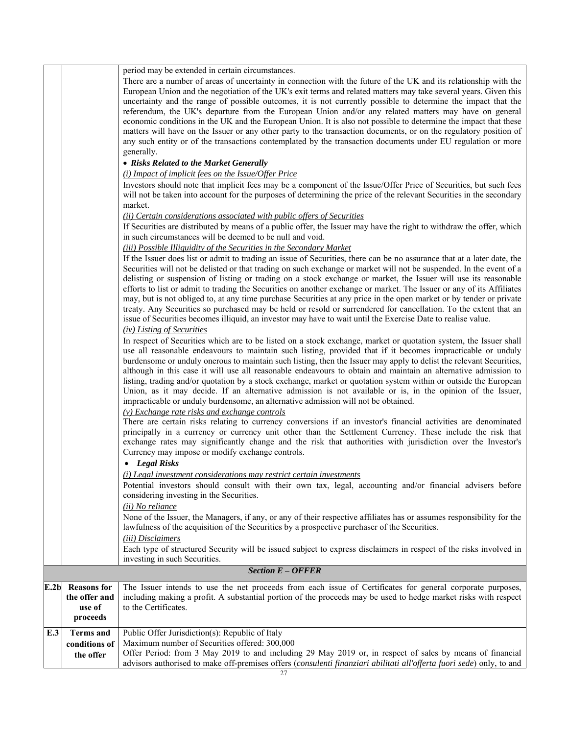|      |                                                           | period may be extended in certain circumstances.<br>There are a number of areas of uncertainty in connection with the future of the UK and its relationship with the<br>European Union and the negotiation of the UK's exit terms and related matters may take several years. Given this<br>uncertainty and the range of possible outcomes, it is not currently possible to determine the impact that the<br>referendum, the UK's departure from the European Union and/or any related matters may have on general<br>economic conditions in the UK and the European Union. It is also not possible to determine the impact that these<br>matters will have on the Issuer or any other party to the transaction documents, or on the regulatory position of<br>any such entity or of the transactions contemplated by the transaction documents under EU regulation or more<br>generally. |
|------|-----------------------------------------------------------|-------------------------------------------------------------------------------------------------------------------------------------------------------------------------------------------------------------------------------------------------------------------------------------------------------------------------------------------------------------------------------------------------------------------------------------------------------------------------------------------------------------------------------------------------------------------------------------------------------------------------------------------------------------------------------------------------------------------------------------------------------------------------------------------------------------------------------------------------------------------------------------------|
|      |                                                           | • Risks Related to the Market Generally                                                                                                                                                                                                                                                                                                                                                                                                                                                                                                                                                                                                                                                                                                                                                                                                                                                   |
|      |                                                           | (i) Impact of implicit fees on the Issue/Offer Price                                                                                                                                                                                                                                                                                                                                                                                                                                                                                                                                                                                                                                                                                                                                                                                                                                      |
|      |                                                           | Investors should note that implicit fees may be a component of the Issue/Offer Price of Securities, but such fees<br>will not be taken into account for the purposes of determining the price of the relevant Securities in the secondary<br>market.                                                                                                                                                                                                                                                                                                                                                                                                                                                                                                                                                                                                                                      |
|      |                                                           | (ii) Certain considerations associated with public offers of Securities<br>If Securities are distributed by means of a public offer, the Issuer may have the right to withdraw the offer, which<br>in such circumstances will be deemed to be null and void.                                                                                                                                                                                                                                                                                                                                                                                                                                                                                                                                                                                                                              |
|      |                                                           | (iii) Possible Illiquidity of the Securities in the Secondary Market                                                                                                                                                                                                                                                                                                                                                                                                                                                                                                                                                                                                                                                                                                                                                                                                                      |
|      |                                                           | If the Issuer does list or admit to trading an issue of Securities, there can be no assurance that at a later date, the<br>Securities will not be delisted or that trading on such exchange or market will not be suspended. In the event of a<br>delisting or suspension of listing or trading on a stock exchange or market, the Issuer will use its reasonable<br>efforts to list or admit to trading the Securities on another exchange or market. The Issuer or any of its Affiliates<br>may, but is not obliged to, at any time purchase Securities at any price in the open market or by tender or private<br>treaty. Any Securities so purchased may be held or resold or surrendered for cancellation. To the extent that an<br>issue of Securities becomes illiquid, an investor may have to wait until the Exercise Date to realise value.<br>(iv) Listing of Securities       |
|      |                                                           | In respect of Securities which are to be listed on a stock exchange, market or quotation system, the Issuer shall<br>use all reasonable endeavours to maintain such listing, provided that if it becomes impracticable or unduly<br>burdensome or unduly onerous to maintain such listing, then the Issuer may apply to delist the relevant Securities,<br>although in this case it will use all reasonable endeavours to obtain and maintain an alternative admission to<br>listing, trading and/or quotation by a stock exchange, market or quotation system within or outside the European<br>Union, as it may decide. If an alternative admission is not available or is, in the opinion of the Issuer,<br>impracticable or unduly burdensome, an alternative admission will not be obtained.                                                                                         |
|      |                                                           | $(v)$ Exchange rate risks and exchange controls<br>There are certain risks relating to currency conversions if an investor's financial activities are denominated<br>principally in a currency or currency unit other than the Settlement Currency. These include the risk that<br>exchange rates may significantly change and the risk that authorities with jurisdiction over the Investor's<br>Currency may impose or modify exchange controls.                                                                                                                                                                                                                                                                                                                                                                                                                                        |
|      |                                                           | • Legal Risks                                                                                                                                                                                                                                                                                                                                                                                                                                                                                                                                                                                                                                                                                                                                                                                                                                                                             |
|      |                                                           | (i) Legal investment considerations may restrict certain investments<br>Potential investors should consult with their own tax, legal, accounting and/or financial advisers before<br>considering investing in the Securities.                                                                                                                                                                                                                                                                                                                                                                                                                                                                                                                                                                                                                                                             |
|      |                                                           | ( <i>ii</i> ) No reliance<br>None of the Issuer, the Managers, if any, or any of their respective affiliates has or assumes responsibility for the<br>lawfulness of the acquisition of the Securities by a prospective purchaser of the Securities.                                                                                                                                                                                                                                                                                                                                                                                                                                                                                                                                                                                                                                       |
|      |                                                           | (iii) Disclaimers<br>Each type of structured Security will be issued subject to express disclaimers in respect of the risks involved in                                                                                                                                                                                                                                                                                                                                                                                                                                                                                                                                                                                                                                                                                                                                                   |
|      |                                                           | investing in such Securities.<br><b>Section E - OFFER</b>                                                                                                                                                                                                                                                                                                                                                                                                                                                                                                                                                                                                                                                                                                                                                                                                                                 |
|      |                                                           |                                                                                                                                                                                                                                                                                                                                                                                                                                                                                                                                                                                                                                                                                                                                                                                                                                                                                           |
| E.2b | <b>Reasons</b> for<br>the offer and<br>use of<br>proceeds | The Issuer intends to use the net proceeds from each issue of Certificates for general corporate purposes,<br>including making a profit. A substantial portion of the proceeds may be used to hedge market risks with respect<br>to the Certificates.                                                                                                                                                                                                                                                                                                                                                                                                                                                                                                                                                                                                                                     |
| E.3  | <b>Terms</b> and                                          | Public Offer Jurisdiction(s): Republic of Italy                                                                                                                                                                                                                                                                                                                                                                                                                                                                                                                                                                                                                                                                                                                                                                                                                                           |
|      | conditions of                                             | Maximum number of Securities offered: 300,000                                                                                                                                                                                                                                                                                                                                                                                                                                                                                                                                                                                                                                                                                                                                                                                                                                             |
|      | the offer                                                 | Offer Period: from 3 May 2019 to and including 29 May 2019 or, in respect of sales by means of financial                                                                                                                                                                                                                                                                                                                                                                                                                                                                                                                                                                                                                                                                                                                                                                                  |
|      |                                                           | advisors authorised to make off-premises offers (consulenti finanziari abilitati all'offerta fuori sede) only, to and                                                                                                                                                                                                                                                                                                                                                                                                                                                                                                                                                                                                                                                                                                                                                                     |